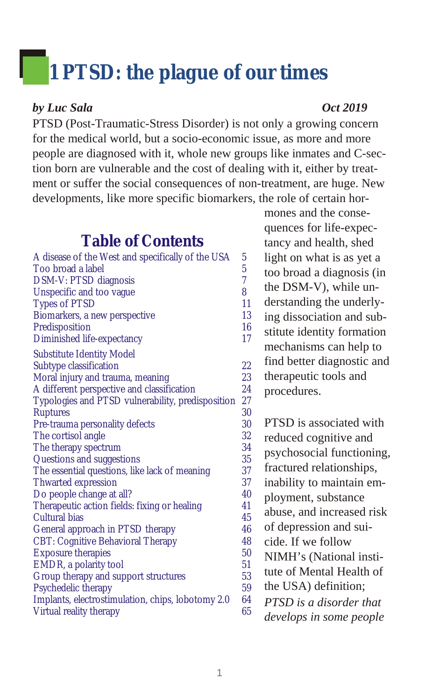# 1 PTSD: the plague of our times

#### *by Luc Sala Oct 2019*

PTSD (Post-Traumatic-Stress Disorder) is not only a growing concern for the medical world, but a socio-economic issue, as more and more people are diagnosed with it, whole new groups like inmates and C-section born are vulnerable and the cost of dealing with it, either by treatment or suffer the social consequences of non-treatment, are huge. New developments, like more specific biomarkers, the role of certain hor-

#### **Table of Contents**

| A disease of the West and specifically of the USA | 5              |
|---------------------------------------------------|----------------|
| Too broad a label                                 | $\overline{5}$ |
| DSM-V: PTSD diagnosis                             | $\overline{7}$ |
| Unspecific and too vague                          | 8              |
| <b>Types of PTSD</b>                              | 11             |
| Biomarkers, a new perspective                     | 13             |
| Predisposition                                    | 16             |
| Diminished life-expectancy                        | 17             |
| <b>Substitute Identity Model</b>                  |                |
| Subtype classification                            | 22             |
| Moral injury and trauma, meaning                  | 23             |
| A different perspective and classification        | 24             |
| Typologies and PTSD vulnerability, predisposition | 27             |
| <b>Ruptures</b>                                   | 30             |
| Pre-trauma personality defects                    | 30             |
| The cortisol angle                                | 32             |
| The therapy spectrum                              | 34             |
| Questions and suggestions                         | 35             |
| The essential questions, like lack of meaning     | 37             |
| <b>Thwarted expression</b>                        | 37             |
| Do people change at all?                          | 40             |
| Therapeutic action fields: fixing or healing      | 41             |
| Cultural bias                                     | 45             |
| General approach in PTSD therapy                  | 46             |
| <b>CBT: Cognitive Behavioral Therapy</b>          | 48             |
| <b>Exposure therapies</b>                         | 50             |
| EMDR, a polarity tool                             | 51             |
| Group therapy and support structures              | 53             |
| Psychedelic therapy                               | 59             |
| Implants, electrostimulation, chips, lobotomy 2.0 | 64             |
| Virtual reality therapy                           | 65             |
|                                                   |                |

mones and the consequences for life-ex pec tancy and health, shed light on what is as yet a too broad a diagnosis (in the DSM-V), while understanding the underlying dissociation and substitute identity formation mechanisms can help to find better diagnostic and therapeutic tools and procedures.

PTSD is associated with reduced cognitive and psychosocial functioning, fractured relationships, inability to maintain employment, substance abuse, and increased risk of depression and suicide. If we follow NIMH's (National institute of Mental Health of the USA) definition; *PTSD is a dis or der that de vel ops in some peo ple*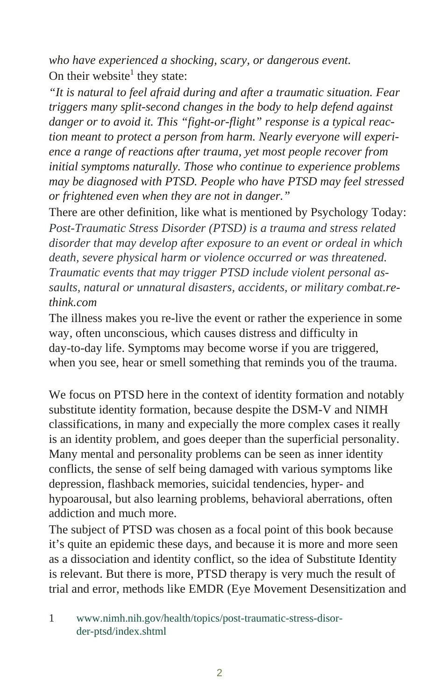who have experienced a shocking, scary, or dangerous event. On their website<sup>1</sup> they state:

*"It is natural to feel afraid during and after a traumatic situation. Fear trig gers many split-sec ond changes in the body to help de fend against danger or to avoid it. This "fight-or-flight" response is a typical reaction meant to protect a person from harm. Nearly everyone will experience a range of reactions after trauma, yet most people recover from initial symptoms naturally. Those who continue to experience problems* may be diagnosed with PTSD. People who have PTSD may feel stressed *or frightened even when they are not in danger.*"

There are other definition, like what is mentioned by Psychology Today: Post-Traumatic Stress Disorder (PTSD) is a trauma and stress related *dis or der that may de velop af ter ex po sure to an event or or deal in which death, severe physical harm or violence occurred or was threatened. Traumatic events that may trigger PTSD include violent personal as*saults, natural or unnatural disasters, accidents, or military combat.re*think.com*

The illness makes you re-live the event or rather the experience in some way, often unconscious, which causes distress and difficulty in day-to-day life. Symptoms may become worse if you are triggered, when you see, hear or smell something that reminds you of the trauma.

We focus on PTSD here in the context of identity formation and notably substitute identity formation, because despite the DSM-V and NIMH classifications, in many and expecially the more complex cases it really is an identity problem, and goes deeper than the superficial personality. Many mental and personality problems can be seen as inner identity conflicts, the sense of self being damaged with various symptoms like depression, flashback memories, suicidal tendencies, hyper- and hypoarousal, but also learning problems, behavioral aberrations, often addiction and much more.

The subject of PTSD was chosen as a focal point of this book because it's quite an epidemic these days, and because it is more and more seen as a dissociation and identity conflict, so the idea of Substitute Identity is relevant. But there is more, PTSD therapy is very much the result of trial and error, methods like EMDR (Eye Movement Desensitization and

<sup>1</sup> www.nimh.nih.gov/health/topics/post-traumatic-stress-disorder-ptsd/in dex.shtml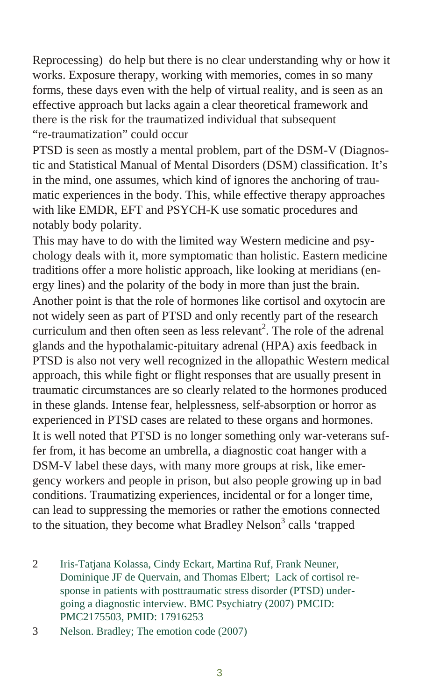Reprocessing) do help but there is no clear understanding why or how it works. Exposure therapy, working with memories, comes in so many forms, these days even with the help of virtual reality, and is seen as an effective approach but lacks again a clear theoretical framework and there is the risk for the traumatized individual that subsequent "re-traumatization" could occur

PTSD is seen as mostly a mental problem, part of the DSM-V (Diagnostic and Statistical Manual of Mental Disorders (DSM) classification. It's in the mind, one assumes, which kind of ignores the anchoring of traumatic experiences in the body. This, while effective therapy approaches with like EMDR, EFT and PSYCH-K use somatic procedures and notably body polarity.

This may have to do with the limited way Western medicine and psychology deals with it, more symptomatic than holistic. Eastern medicine traditions offer a more holistic approach, like looking at meridians (energy lines) and the polarity of the body in more than just the brain. Another point is that the role of hormones like cortisol and oxytocin are not widely seen as part of PTSD and only recently part of the research curriculum and then often seen as less relevant<sup>2</sup>. The role of the adrenal glands and the hypothalamic-pituitary adrenal (HPA) axis feedback in PTSD is also not very well recognized in the allopathic Western medical approach, this while fight or flight responses that are usually present in trau matic circumstances are so clearly related to the hormones produced in these glands. Intense fear, helplessness, self-absorption or horror as experienced in PTSD cases are related to these organs and hormones. It is well noted that PTSD is no longer something only war-veterans suffer from, it has become an umbrella, a diagnostic coat hanger with a DSM-V label these days, with many more groups at risk, like emergency workers and people in prison, but also people growing up in bad conditions. Traumatizing experiences, incidental or for a longer time, can lead to suppressing the memories or rather the emotions connected to the situation, they become what Bradley Nelson<sup>3</sup> calls 'trapped

2 Iris-Tatjana Kolassa, Cindy Eckart, Martina Ruf, Frank Neuner, Dominique JF de Quervain, and Thomas Elbert; Lack of cortisol re sponse in patients with posttraumatic stress disorder (PTSD) undergoing a diagnostic interview. BMC Psychiatry (2007) PMCID: PMC2175503, PMID: 17916253

3 Nelson. Bradley; The emotion code (2007)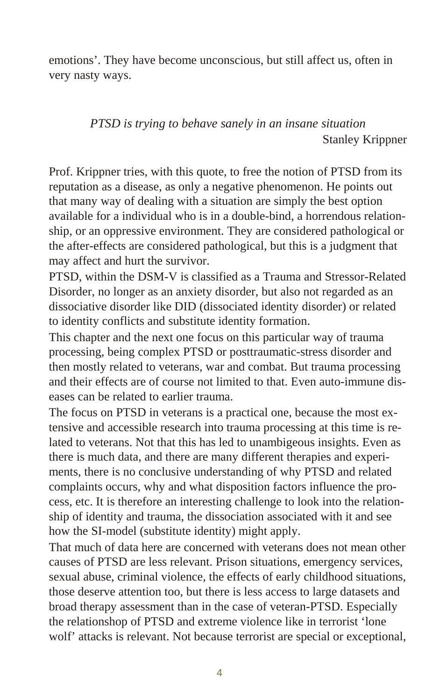emotions'. They have become unconscious, but still affect us, often in very nasty ways.

> *PTSD is trying to behave sanely in an insane situation* Stanley Krippner

Prof. Krippner tries, with this quote, to free the notion of PTSD from its reputation as a disease, as only a negative phenomenon. He points out that many way of dealing with a situation are simply the best option available for a individual who is in a double-bind, a horrendous relationship, or an oppressive environment. They are considered pathological or the after-effects are considered pathological, but this is a judgment that may affect and hurt the survivor.

PTSD, within the DSM-V is classified as a Trauma and Stressor-Related Disorder, no longer as an anxiety disorder, but also not regarded as an dissociative disorder like DID (dissociated identity disorder) or related to identity conflicts and substitute identity formation.

This chapter and the next one focus on this particular way of trauma processing, being complex PTSD or posttraumatic-stress disorder and then mostly related to veterans, war and combat. But trauma processing and their effects are of course not limited to that. Even auto-immune diseases can be related to earlier trauma.

The focus on PTSD in veterans is a practical one, because the most extensive and accessible research into trauma processing at this time is related to veterans. Not that this has led to unambigeous insights. Even as there is much data, and there are many different therapies and experiments, there is no conclusive understanding of why PTSD and related complaints occurs, why and what disposition factors influence the process, etc. It is therefore an interesting challenge to look into the relationship of identity and trauma, the dissociation associated with it and see how the SI-model (substitute identity) might apply.

That much of data here are concerned with veterans does not mean other causes of PTSD are less relevant. Prison situations, emergency services, sexual abuse, criminal violence, the effects of early childhood situations, those deserve attention too, but there is less access to large datasets and broad therapy assessment than in the case of veteran-PTSD. Especially the relationshop of PTSD and extreme violence like in terrorist 'lone wolf' attacks is relevant. Not because terrorist are special or exceptional,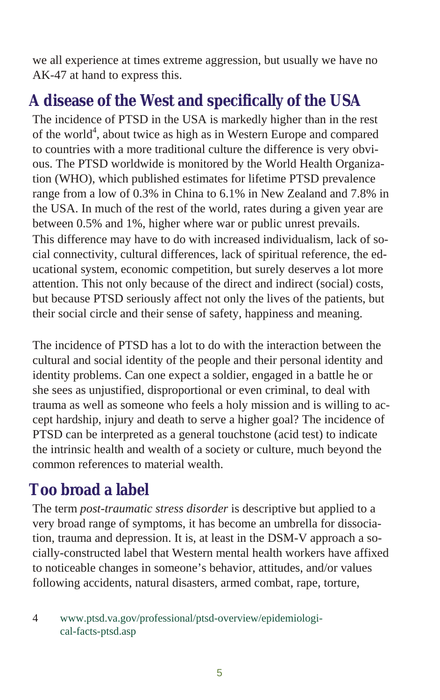<span id="page-4-0"></span>we all experience at times extreme aggression, but usually we have no AK-47 at hand to express this.

## A disease of the West and specifically of the USA

The incidence of PTSD in the USA is markedly higher than in the rest of the world<sup>4</sup>, about twice as high as in Western Europe and compared to countries with a more traditional culture the difference is very obvious. The PTSD worldwide is monitored by the World Health Organization (WHO), which published estimates for lifetime PTSD prevalence range from a low of 0.3% in China to 6.1% in New Zealand and 7.8% in the USA. In much of the rest of the world, rates during a given year are be tween 0.5% and 1%, higher where war or public unrest prevails. This difference may have to do with increased individualism, lack of social connectivity, cultural differences, lack of spiritual reference, the educational system, economic competition, but surely deserves a lot more attention. This not only because of the direct and indirect (social) costs, but because PTSD seriously affect not only the lives of the patients, but their social circle and their sense of safety, happiness and meaning.

The incidence of PTSD has a lot to do with the interaction between the cultural and social identity of the people and their personal identity and identity problems. Can one expect a soldier, engaged in a battle he or she sees as unjustified, disproportional or even criminal, to deal with trauma as well as someone who feels a holy mission and is willing to accept hardship, in jury and death to serve a higher goal? The incidence of PTSD can be interpreted as a general touch stone (acid test) to indicate the intrinsic health and wealth of a society or culture, much beyond the common references to material wealth.

## **Too broad a label**

The term *post-traumatic stress disorder* is descriptive but applied to a very broad range of symptoms, it has become an umbrella for dissociation, trauma and depression. It is, at least in the DSM-V approach a socially-constructed label that Western mental health workers have affixed to notice able changes in some one's behavior, at titudes, and/or values following accidents, natural disasters, armed combat, rape, torture,

#### 4 www.ptsd.va.gov/professional/ptsd-overview/epidemiological-facts-ptsd.asp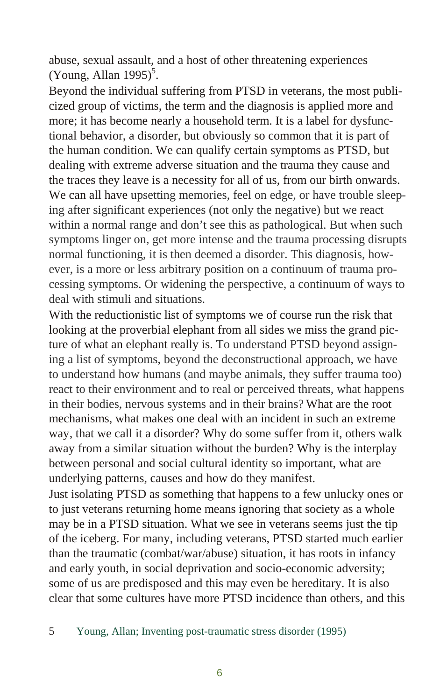abuse, sexual assault, and a host of other threatening experiences  $(Young, Allan 1995)^5$ .

Beyond the individual suffering from PTSD in veterans, the most publicized group of victims, the term and the diagnosis is applied more and more; it has become nearly a household term. It is a label for dysfunctional behavior, a disorder, but obviously so common that it is part of the human condition. We can qualify certain symptoms as PTSD, but dealing with extreme adverse situation and the trauma they cause and the traces they leave is a necessity for all of us, from our birth onwards. We can all have upsetting memories, feel on edge, or have trouble sleeping after significant experiences (not only the negative) but we react within a normal range and don't see this as pathological. But when such symptoms linger on, get more intense and the trauma processing disrupts normal functioning, it is then deemed a disorder. This diagnosis, however, is a more or less arbitrary position on a continuum of trauma processing symptoms. Or widening the perspective, a continuum of ways to deal with stimuli and situations.

With the reductionistic list of symptoms we of course run the risk that looking at the proverbial elephant from all sides we miss the grand picture of what an elephant really is. To understand PTSD beyond assigning a list of symptoms, beyond the deconstructional approach, we have to understand how humans (and maybe animals, they suffer trauma too) react to their environment and to real or perceived threats, what happens in their bodies, nervous systems and in their brains? What are the root mechanisms, what makes one deal with an incident in such an extreme way, that we call it a disorder? Why do some suffer from it, others walk away from a similar situation without the burden? Why is the interplay between personal and social cultural identity so important, what are underlying patterns, causes and how do they manifest.

Just isolating PTSD as something that happens to a few unlucky ones or to just veterans returning home means ignoring that society as a whole may be in a PTSD situation. What we see in veterans seems just the tip of the iceberg. For many, including veterans, PTSD started much earlier than the traumatic (combat/war/abuse) situation, it has roots in infancy and early youth, in social deprivation and socio-economic adversity; some of us are predisposed and this may even be hereditary. It is also clear that some cultures have more PTSD incidence than others, and this

5 Young, Allan; Inventing post-traumatic stress disorder (1995)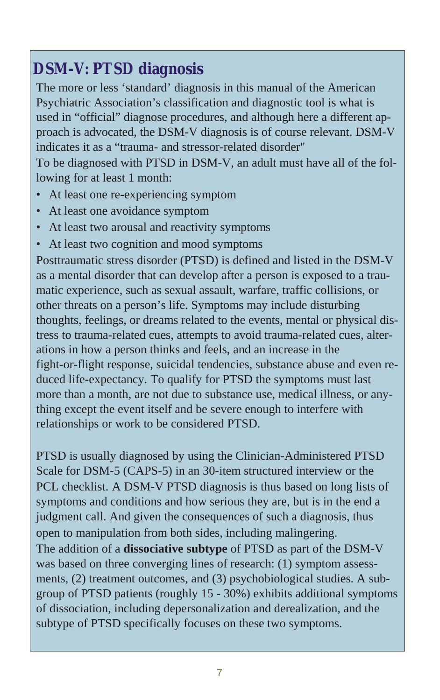## <span id="page-6-0"></span>**DSM-V: PTSD diagnosis**

The more or less 'standard' diagnosis in this manual of the American Psychiatric Association's classification and diagnostic tool is what is used in "official" diagnose procedures, and although here a different approach is advocated, the DSM-V diagnosis is of course relevant. DSM-V indicates it as a "trauma- and stressor-related disorder" To be diagnosed with PTSD in DSM-V, an adult must have all of the fol-

lowing for at least 1 month:

- At least one re-experiencing symptom
- At least one avoidance symptom
- At least two arousal and reactivity symptoms
- At least two cognition and mood symptoms

Posttraumatic stress disorder (PTSD) is defined and listed in the DSM-V as a mental disorder that can develop after a person is exposed to a traumatic experience, such as sexual assault, warfare, traffic collisions, or other threats on a person's life. Symptoms may include disturbing thoughts, feelings, or dreams related to the events, mental or physical distress to trauma-related cues, attempts to avoid trauma-related cues, alterations in how a person thinks and feels, and an increase in the fight-or-flight response, suicidal tendencies, substance abuse and even reduced life-expectancy. To qualify for PTSD the symptoms must last more than a month, are not due to substance use, medical illness, or anything except the event itself and be severe enough to interfere with relationships or work to be considered PTSD.

PTSD is usually diagnosed by using the Clinician-Administered PTSD Scale for DSM-5 (CAPS-5) in an 30-item structured interview or the PCL check list. A DSM-V PTSD diagnosis is thus based on long lists of symptoms and conditions and how serious they are, but is in the end a judgment call. And given the consequences of such a diagnosis, thus open to manipulation from both sides, including malingering. The addition of a **dissociative subtype** of PTSD as part of the DSM-V was based on three converging lines of research:  $(1)$  symptom assess-

ments,  $(2)$  treatment outcomes, and  $(3)$  psychobiological studies. A subgroup of PTSD patients (roughly 15 - 30%) exhibits additional symptoms of dissociation, including depersonalization and derealization, and the subtype of PTSD specifically focuses on these two symptoms.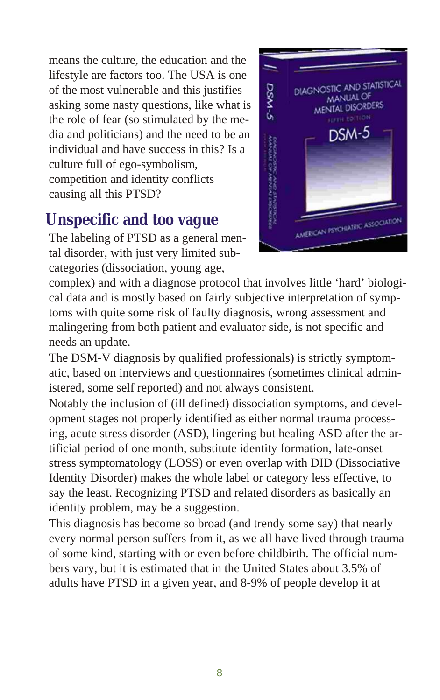<span id="page-7-0"></span>means the culture, the education and the lifestyle are factors too. The USA is one of the most vulnerable and this justifies asking some nasty questions, like what is the role of fear (so stimulated by the media and politicians) and the need to be an individual and have success in this? Is a culture full of ego-symbolism. competition and identity conflicts causing all this PTSD?

## **Unspecific and too vague**

The labeling of PTSD as a general mental disorder, with just very limited subcategories (dissociation, young age,



complex) and with a diagnose protocol that involves little 'hard' biological data and is mostly based on fairly subjective interpretation of symptoms with quite some risk of faulty diagnosis, wrong assessment and malingering from both patient and evaluator side, is not specific and needs an update.

The DSM-V diagnosis by qualified professionals) is strictly symptomatic, based on interviews and questionnaires (sometimes clinical administered, some self reported) and not always consistent.

Notably the inclusion of (ill defined) dissociation symptoms, and development stages not properly identified as either normal trauma processing, acute stress disorder (ASD), lingering but healing ASD after the artificial period of one month, substitute identity formation, late-onset stress symptomatology (LOSS) or even overlap with DID (Dissociative Identity Disorder) makes the whole label or category less effective, to say the least. Recognizing PTSD and related disorders as basically an identity problem, may be a suggestion.

This diagnosis has become so broad (and trendy some say) that nearly every normal person suffers from it, as we all have lived through trauma of some kind, starting with or even before child birth. The official numbers vary, but it is estimated that in the United States about 3.5% of adults have PTSD in a given year, and 8-9% of people develop it at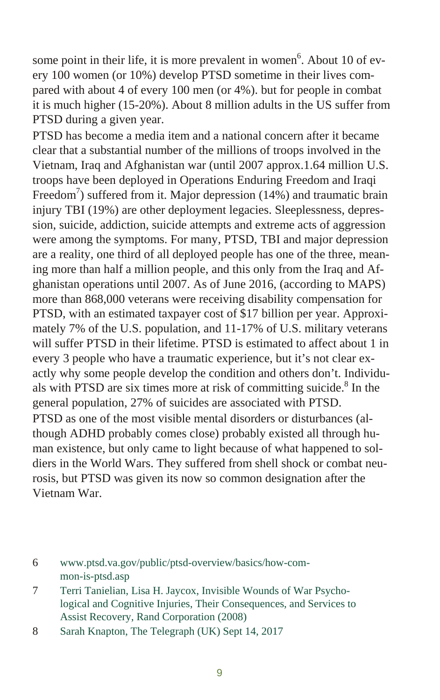some point in their life, it is more prevalent in women<sup>6</sup>. About 10 of every 100 women (or 10%) develop PTSD sometime in their lives compared with about 4 of every 100 men (or  $4\%$ ), but for people in combat it is much higher (15-20%). About 8 million adults in the US suffer from PTSD during a given year.

PTSD has become a media item and a national concern after it became clear that a substantial number of the millions of troops involved in the Vietnam, Iraq and Afghanistan war (until 2007 approx.1.64 million U.S. troops have been deployed in Operations Enduring Freedom and Iraqi Freedom<sup>7</sup>) suffered from it. Major depression (14%) and traumatic brain injury TBI (19%) are other deployment legacies. Sleeplessness, depression, suicide, addiction, suicide attempts and extreme acts of aggression were among the symptoms. For many, PTSD, TBI and major depression are a reality, one third of all deployed people has one of the three, meaning more than half a million people, and this only from the Iraq and Afghanistan operations until 2007. As of June 2016, (according to MAPS) more than 868,000 veterans were receiving disability compensation for PTSD, with an estimated taxpayer cost of \$17 billion per year. Approximately 7% of the U.S. population, and 11-17% of U.S. military veterans will suffer PTSD in their lifetime. PTSD is estimated to affect about 1 in every 3 people who have a traumatic experience, but it's not clear exactly why some people develop the condition and others don't. Individuals with PTSD are six times more at risk of committing suicide. $8$  In the general population, 27% of suicides are associated with PTSD. PTSD as one of the most visible mental disorders or disturbances (although ADHD probably comes close) probably existed all through human existence, but only came to light because of what happened to soldiers in the World Wars. They suffered from shell shock or combat neurosis, but PTSD was given its now so common designation after the Vietnam War.

<sup>6</sup> www.ptsd.va.gov/public/ptsd-overview/basics/how-common-is-ptsd.asp

<sup>7</sup> Terri Tanielian, Lisa H. Jaycox, Invisible Wounds of War Psychological and Cognitive Injuries, Their Consequences, and Services to Assist Recovery, Rand Corporation (2008)

<sup>8</sup> Sarah Knapton, The Telegraph (UK) Sept 14, 2017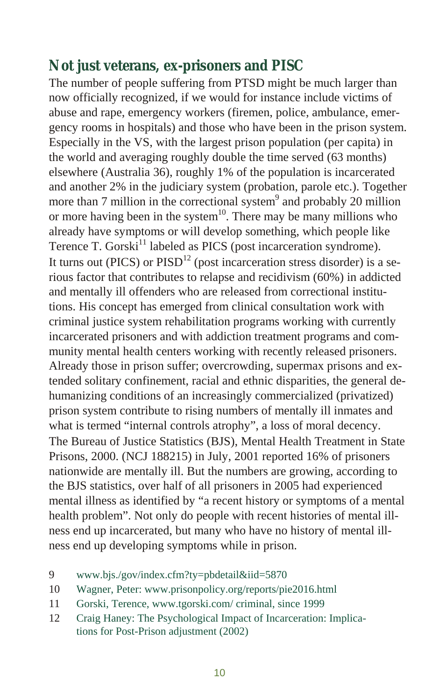#### Not just veterans, ex-prisoners and PISC

The number of people suffering from PTSD might be much larger than now officially recognized, if we would for instance include victims of abuse and rape, emergency workers (firemen, police, ambulance, emergency rooms in hospitals) and those who have been in the prison system. Especially in the VS, with the largest prison population (per capita) in the world and averaging roughly double the time served (63 months) elsewhere (Australia 36), roughly  $1\%$  of the population is incarcerated and another 2% in the judiciary system (probation, parole etc.). Together more than 7 million in the correctional system<sup>9</sup> and probably 20 million or more having been in the system<sup>10</sup>. There may be many millions who already have symptoms or will develop something, which people like Terence T. Gorski<sup>11</sup> labeled as PICS (post incarceration syndrome). It turns out (PICS) or  $PISD<sup>12</sup>$  (post incarceration stress disorder) is a serious factor that contributes to relapse and recidivism (60%) in addicted and mentally ill offenders who are released from correctional institutions. His concept has emerged from clinical consultation work with criminal justice system rehabilitation programs working with currently incarcerated prisoners and with addiction treatment programs and community mental health centers working with recently released prisoners. Already those in prison suffer; overcrowding, supermax prisons and extended solitary confinement, racial and ethnic disparities, the general dehumanizing conditions of an increasingly commercialized (privatized) prison system contribute to rising numbers of mentally ill inmates and what is termed "internal controls atrophy", a loss of moral decency. The Bureau of Justice Statistics (BJS), Mental Health Treatment in State Prisons,  $2000$ . (NCJ 188215) in July,  $2001$  reported 16% of prisoners nation wide are mentally ill. But the numbers are growing, according to the BJS statistics, over half of all prisoners in 2005 had experienced mental illness as identified by "a recent history or symptoms of a mental health problem". Not only do people with recent histories of mental illness end up incarcerated, but many who have no history of mental illness end up developing symptoms while in prison.

- 9 www.bjs./gov/in dex.cfm?ty=pbdetail&iid=5870
- 10 Wagner, Peter: www.prisonpolicy.org/reports/pie2016.html
- 11 Gorski, Terence, www.tgorski.com/ criminal, since 1999
- 12 Craig Haney: The Psychological Impact of Incarceration: Implications for Post-Prison adjustment (2002)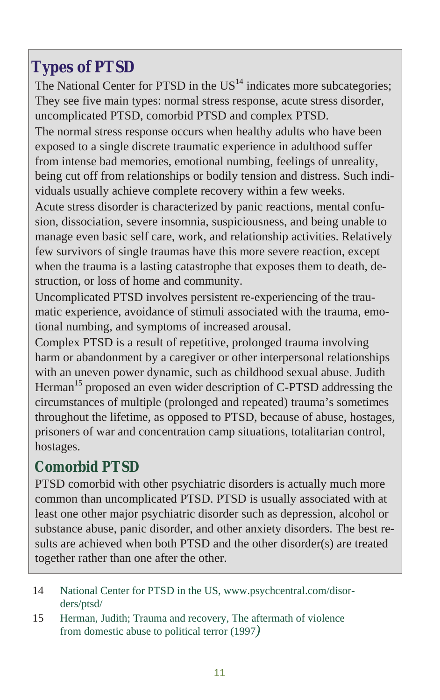## <span id="page-10-0"></span>**Ty pes of PTSD**

The National Center for PTSD in the  $US<sup>14</sup>$  indicates more subcategories; They see five main types: normal stress response, acute stress disorder, uncomplicated PTSD, comorbid PTSD and complex PTSD.

The normal stress response occurs when healthy adults who have been exposed to a single discrete traumatic experience in adulthood suffer from intense bad memories, emotional numbing, feelings of unreality, being cut off from relationships or bodily tension and distress. Such individuals usually achieve complete recovery within a few weeks.

Acute stress disorder is characterized by panic reactions, mental confusion, dissociation, severe insomnia, suspiciousness, and being unable to manage even basic self care, work, and relationship activities. Relatively few survivors of single traumas have this more severe reaction, except when the trauma is a lasting catastrophe that exposes them to death, destruction, or loss of home and community.

Uncomplicated PTSD involves persistent re-experiencing of the traumatic experience, avoidance of stimuli associated with the trauma, emotional numbing, and symptoms of increased arousal.

Complex PTSD is a result of repetitive, prolonged trauma involving harm or abandonment by a caregiver or other interpersonal relationships with an uneven power dynamic, such as childhood sexual abuse. Judith Herman<sup>15</sup> proposed an even wider description of C-PTSD addressing the circumstances of multiple (prolonged and repeated) trauma's sometimes throughout the life time, as opposed to PTSD, because of abuse, hostages, prisoners of war and concentration camp situations, totalitarian control, hostages.

#### Comorbid PTSD

PTSD comorbid with other psychiatric disorders is actually much more common than uncomplicated PTSD. PTSD is usually associated with at least one other major psychiatric disorder such as depression, alcohol or substance abuse, panic disorder, and other anxiety disorders. The best results are achieved when both PTSD and the other disorder(s) are treated to gether rather than one after the other.

- 14 National Center for PTSD in the US, www.psychcentral.com/disorders/ptsd/
- 15 Herman, Judith; Trauma and recovery, The aftermath of violence from domestic abuse to political terror (1997)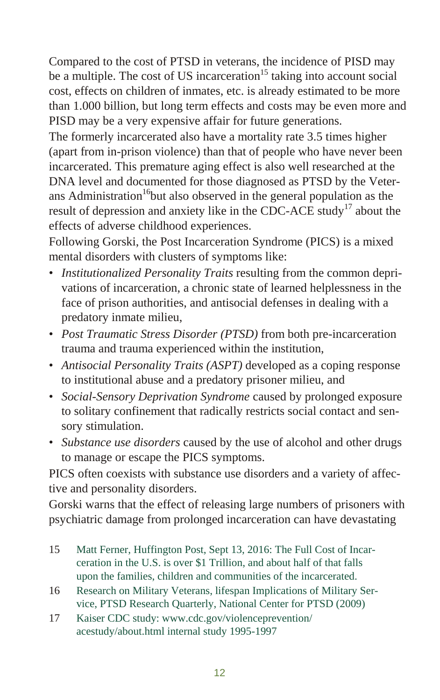Compared to the cost of PTSD in veterans, the incidence of PISD may be a multiple. The cost of US incarceration<sup>15</sup> taking into account social cost, effects on children of inmates, etc. is already estimated to be more than 1.000 billion, but long term effects and costs may be even more and PISD may be a very expensive affair for future generations.

The formerly incarcerated also have a mortality rate 3.5 times higher (apart from in-prison violence) than that of people who have never been in carcerated. This premature aging effect is also well researched at the DNA level and documented for those diagnosed as PTSD by the Veterans Administration<sup>16</sup>but also observed in the general population as the result of depression and anxiety like in the CDC-ACE study<sup>17</sup> about the effects of adverse childhood experiences.

Following Gorski, the Post Incarceration Syndrome (PICS) is a mixed mental disorders with clusters of symptoms like:

- *Institutionalized Personality Traits* resulting from the common deprivations of incarceration, a chronic state of learned helplessness in the face of prison authorities, and antisocial defenses in dealing with a predatory inmate milieu,
- *Post Traumatic Stress Disorder (PTSD)* from both pre-incarceration trauma and trauma experienced within the institution,
- *Antisocial Personality Traits (ASPT)* developed as a coping response to institutional abuse and a predatory prisoner milieu, and
- *Social-Sensory Deprivation Syndrome* caused by prolonged exposure to solitary confinement that radically restricts social contact and sensory stimulation.
- *Substance use disorders* caused by the use of alcohol and other drugs to manage or escape the PICS symptoms.

PICS often coexists with substance use disorders and a variety of affective and personality disorders.

Gorski warns that the effect of releasing large numbers of prisoners with psy chiatric damage from prolonged in car ceration can have devastating

- 15 Matt Ferner, Huffington Post, Sept 13, 2016: The Full Cost of Incarceration in the U.S. is over \$1 Trillion, and about half of that falls upon the families, children and communities of the incarcerated.
- 16 Research on Military Veterans, lifespan Implications of Military Service, PTSD Research Quarterly, National Center for PTSD (2009)
- 17 Kaiser CDC study: www.cdc.gov/violenceprevention/ acestudy/about.html internal study 1995-1997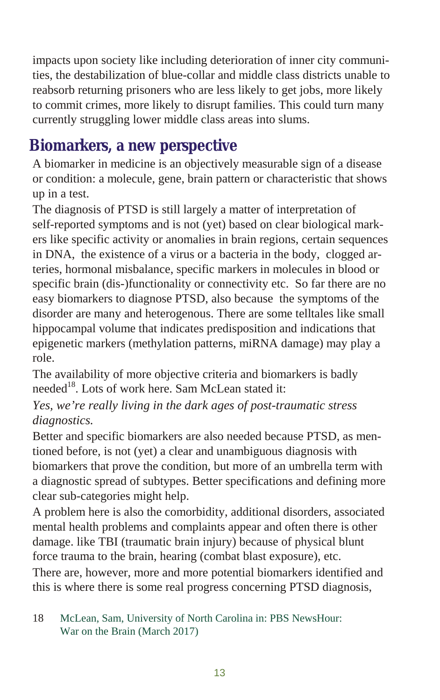<span id="page-12-0"></span>impacts upon society like including deterioration of inner city communities, the destabilization of blue-collar and middle class districts unable to re absorb returning prisoners who are less likely to get jobs, more likely to commit crimes, more likely to disrupt families. This could turn many currently struggling lower middle class areas into slums.

## **Biomarkers, a new perspective**

A biomarker in medicine is an objectively measurable sign of a disease or condition: a molecule, gene, brain pattern or characteristic that shows up in a test.

The diagnosis of PTSD is still largely a matter of interpretation of self-reported symptoms and is not (yet) based on clear biological markers like specific activity or anomalies in brain regions, certain sequences in DNA, the existence of a virus or a bacteria in the body, clogged arteries, hormonal misbalance, specific markers in molecules in blood or specific brain (dis-)functionality or connectivity etc. So far there are no easy biomarkers to diagnose PTSD, also because the symptoms of the disorder are many and heterogenous. There are some telltales like small hippocampal volume that indicates predisposition and indications that epigenetic markers (methylation patterns, miRNA damage) may play a role.

The availability of more objective criteria and biomarkers is badly needed<sup>18</sup>. Lots of work here. Sam McLean stated it:

#### *Yes, we're really living in the dark ages of post-traumatic stress di ag nos tics.*

Better and specific biomarkers are also needed because PTSD, as mentioned before, is not (yet) a clear and unambiguous diagnosis with biomarkers that prove the condition, but more of an umbrella term with a diagnostic spread of subtypes. Better specifications and defining more clear sub-categories might help.

A problem here is also the comorbidity, additional disorders, associated mental health problems and complaints appear and often there is other damage. like TBI (traumatic brain injury) because of physical blunt force trauma to the brain, hearing (combat blast exposure), etc. There are, however, more and more potential biomarkers identified and this is where there is some real progress concerning PTSD diagnosis,

#### 18 McLean, Sam, University of North Carolina in: PBS NewsHour: War on the Brain (March 2017)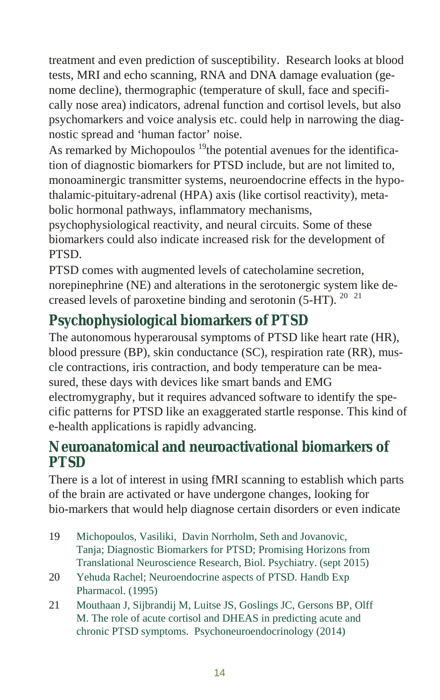treatment and even prediction of susceptibility. Research looks at blood tests, MRI and echo scanning, RNA and DNA damage evaluation (genome decline), thermographic (temperature of skull, face and specifically nose area) indicators, adrenal function and cortisol levels, but also psychomarkers and voice analysis etc. could help in narrowing the diagnostic spread and 'human factor' noise.

As remarked by Michopoulos  $19$ <sup>th</sup>e potential avenues for the identification of diagnostic biomarkers for PTSD include, but are not limited to, monoaminergic transmitter systems, neuroendocrine effects in the hypotha lamic-pitu itary-adrenal (HPA) axis (like cortisol reactivity), metabolic hormonal pathways, inflammatory mechanisms,

psychophysiological reactivity, and neural circuits. Some of these biomarkers could also indicate increased risk for the development of PTSD.

PTSD comes with augmented levels of catecholamine secretion, norepinephrine (NE) and alterations in the serotonergic system like decreased levels of paroxetine binding and serotonin (5-HT).  $20\frac{21}{10}$ 

## **Psychophysiological biomarkers of PTSD**

The autonomous hyperarousal symptoms of PTSD like heart rate (HR), blood pressure (BP), skin conductance (SC), respiration rate (RR), muscle contractions, iris contraction, and body temperature can be measured, these days with devices like smart bands and EMG electromygraphy, but it requires advanced software to identify the specific patterns for PTSD like an exaggerated startle response. This kind of e-health applications is rapidly advancing.

#### Neuroanatomical and neuroactivational biomarkers of **PTSD**

There is a lot of interest in using fMRI scanning to establish which parts of the brain are activated or have undergone changes, looking for bio-markers that would help diagnose certain disorders or even indicate

- 19 Michopoulos, Vasiliki, Davin Norrholm, Seth and Jovanovic, Tanja; Diagnostic Biomarkers for PTSD; Promising Horizons from Translational Neuroscience Research, Biol. Psychiatry. (sept 2015)
- 20 Yehuda Rachel; Neuroendocrine aspects of PTSD. Handb Exp Pharmacol. (1995)
- 21 Mouthaan J, Sijbrandij M, Luitse JS, Goslings JC, Gersons BP, Olff M. The role of acute cortisol and DHEAS in predicting acute and chronic PTSD symptoms. Psychoneuroendocrinology (2014)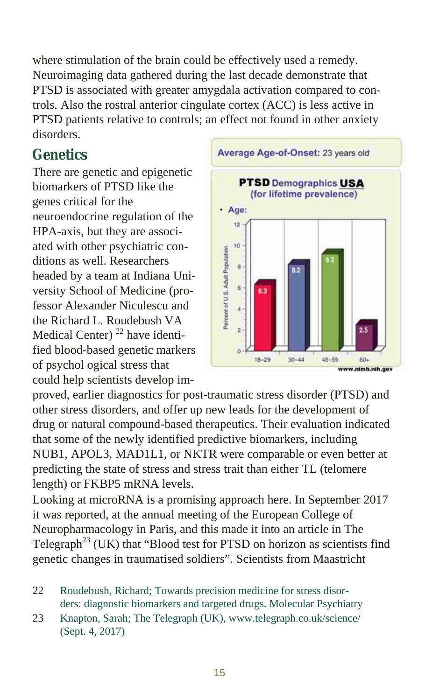where stimulation of the brain could be effectively used a remedy. Neuroimaging data gathered during the last decade demonstrate that PTSD is associated with greater amygdala activation compared to controls. Also the rostral anterior cingulate cortex (ACC) is less active in PTSD patients relative to controls; an effect not found in other anxiety disorders.

#### **Ge ne tics**

There are genetic and epigenetic biomarkers of PTSD like the genes critical for the neuroendocrine regulation of the HPA-axis, but they are associated with other psychiatric conditions as well. Researchers headed by a team at Indiana University School of Medicine (professor Alexander Niculescu and the Richard L. Roudebush VA Medical Center)<sup>22</sup> have identified blood-based genetic markers of psychol ogical stress that could help scientists develop im-



proved, earlier diagnostics for post-traumatic stress disorder (PTSD) and other stress disorders, and offer up new leads for the development of drug or natural compound-based therapeutics. Their evaluation indicated that some of the newly identified predictive biomarkers, including NUB1, APOL3, MAD1L1, or NKTR were comparable or even better at predicting the state of stress and stress trait than either TL (telomere length) or FKBP5 mRNA levels.

Looking at microRNA is a promising approach here. In September 2017 it was reported, at the annual meeting of the European College of Neuropharmacology in Paris, and this made it into an article in The Telegraph<sup>23</sup> (UK) that "Blood test for PTSD on horizon as scientists find genetic changes in traumatised soldiers". Scientists from Maastricht

- 22 Roudebush, Richard; Towards precision medicine for stress disorders: diagnostic biomarkers and targeted drugs. Molecular Psychiatry
- 23 Knapton, Sarah; The Telegraph (UK), www.telegraph.co.uk/science/ (Sept. 4, 2017)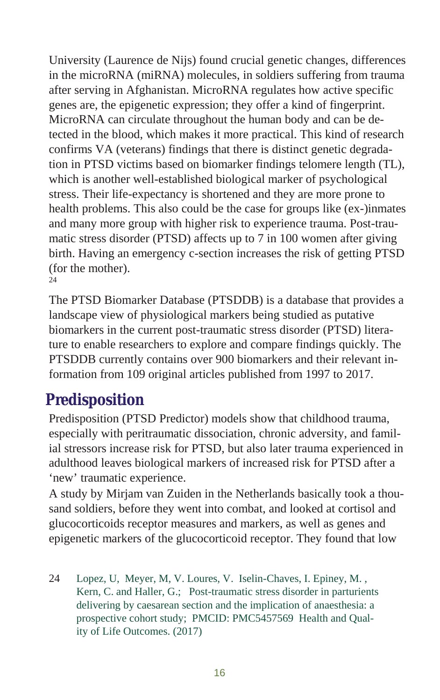<span id="page-15-0"></span>University (Laurence de Nijs) found crucial genetic changes, differences in the microRNA (miRNA) molecules, in soldiers suffering from trauma after serving in Afghanistan. MicroRNA regulates how active specific genes are, the epigenetic expression; they offer a kind of fingerprint. MicroRNA can circulate throughout the human body and can be detected in the blood, which makes it more practical. This kind of research confirms VA (veterans) findings that there is distinct genetic degradation in PTSD victims based on biomarker findings telomere length (TL), which is another well-established biological marker of psychological stress. Their life-expectancy is shortened and they are more prone to health problems. This also could be the case for groups like (ex-)inmates and many more group with higher risk to experience trauma. Post-traumatic stress disorder (PTSD) affects up to  $7$  in 100 women after giving birth. Having an emergency c-section increases the risk of getting PTSD (for the mother). 24

The PTSD Biomarker Database (PTSDDB) is a database that provides a land scape view of physiological markers being studied as putative biomarkers in the current post-traumatic stress disorder (PTSD) literature to enable researchers to explore and compare findings quickly. The PTSDDB currently contains over 900 biomarkers and their relevant information from 109 original articles published from 1997 to 2017.

## **Predisposition**

Predisposition (PTSD Predictor) models show that childhood trauma, especially with peritraumatic dissociation, chronic adversity, and familial stressors increase risk for PTSD, but also later trauma experienced in adulthood leaves biological markers of increased risk for PTSD after a 'new' traumatic experience.

A study by Mirjam van Zuiden in the Netherlands basically took a thousand soldiers, before they went into combat, and looked at cortisol and glucocorticoids receptor measures and markers, as well as genes and epigenetic markers of the glucocorticoid receptor. They found that low

24 Lopez, U, Meyer, M, V. Loures, V. Iselin-Chaves, I. Epiney, M. , Kern, C. and Haller, G.; Post-traumatic stress disorder in parturients delivering by caesarean section and the implication of an aesthesia: a prospective cohort study; PMCID: PMC5457569 Health and Quality of Life Outcomes. (2017)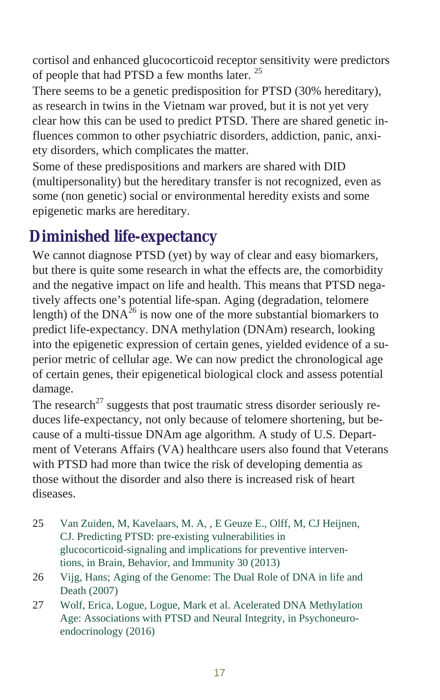<span id="page-16-0"></span>cortisol and enhanced glucocorticoid receptor sensitivity were predictors of people that had PTSD a few months later.<sup>25</sup>

There seems to be a genetic predisposition for PTSD (30% hereditary), as research in twins in the Vietnam war proved, but it is not yet very clear how this can be used to predict PTSD. There are shared genetic influences common to other psychiatric disorders, addiction, panic, anxiety disorders, which complicates the matter.

Some of these predispositions and markers are shared with DID (multipersonality) but the hereditary transfer is not recognized, even as some (non genetic) social or environmental heredity exists and some epigenetic marks are hereditary.

## **Diminished life-expectancy**

We cannot diagnose PTSD (yet) by way of clear and easy biomarkers, but there is quite some research in what the effects are, the comorbidity and the negative impact on life and health. This means that PTSD negatively affects one's potential life-span. Aging (degradation, telomere length) of the DNA $^{26}$  is now one of the more substantial biomarkers to predict life-expectancy. DNA methylation (DNAm) research, looking into the epigenetic expression of certain genes, yielded evidence of a superior metric of cellular age. We can now predict the chronological age of certain genes, their epigenetical biological clock and assess potential damage.

The research<sup>27</sup> suggests that post traumatic stress disorder seriously reduces life-expectancy, not only because of telomere shortening, but because of a multi-tissue DNAm age algorithm. A study of U.S. Department of Veterans Affairs (VA) healthcare users also found that Veterans with PTSD had more than twice the risk of developing dementia as those without the disorder and also there is increased risk of heart diseases.

- 25 Van Zuiden, M, Kavelaars, M. A, , E Geuze E., Olff, M, CJ Heijnen, CJ. Predicting PTSD: pre-existing vulnerabilities in glucocorticoid-signaling and implications for preventive interventions, in Brain, Behavior, and Immunity  $30(2013)$
- 26 Vijg, Hans; Aging of the Genome: The Dual Role of DNA in life and Death (2007)
- 27 Wolf, Erica, Logue, Logue, Mark et al. Acelerated DNA Methylation Age: Associations with PTSD and Neural Integrity, in Psychoneuroendocrinology (2016)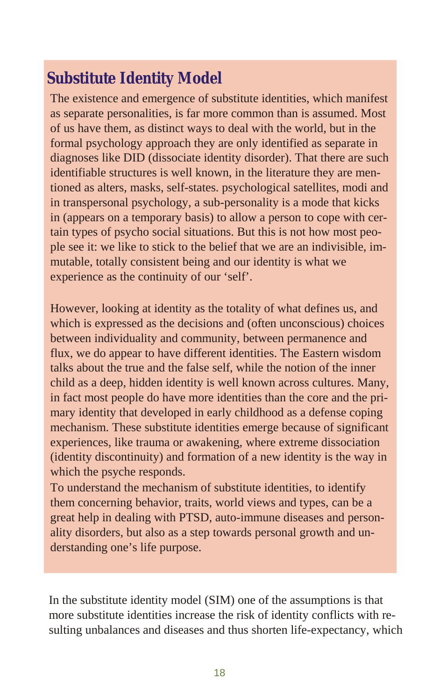## <span id="page-17-0"></span>**Substitute Identity Model**

The existence and emergence of substitute identities, which manifest as separate personalities, is far more common than is assumed. Most of us have them, as distinct ways to deal with the world, but in the formal psychology approach they are only identified as separate in diagnoses like DID (dissociate identity disorder). That there are such iden tifiable structures is well known, in the literature they are mentioned as alters, masks, self-states. psychological satellites, modi and in transpersonal psychology, a sub-personality is a mode that kicks in (appears on a temporary basis) to allow a person to cope with certain types of psycho social situations. But this is not how most people see it: we like to stick to the belief that we are an indivisible, immutable, totally consistent being and our identity is what we experience as the continuity of our 'self'.

However, looking at identity as the totality of what defines us, and which is expressed as the decisions and (often unconscious) choices between individuality and community, between permanence and flux, we do appear to have different identities. The Eastern wisdom talks about the true and the false self, while the notion of the inner child as a deep, hidden identity is well known across cultures. Many, in fact most people do have more identities than the core and the primary identity that developed in early childhood as a defense coping mechanism. These substitute identities emerge because of significant experiences, like trauma or awakening, where extreme dissociation (identity discontinuity) and formation of a new identity is the way in which the psyche responds.

To understand the mechanism of substitute identities, to identify them concerning behavior, traits, world views and types, can be a great help in dealing with PTSD, auto-immune diseases and personality disorders, but also as a step towards personal growth and understanding one's life purpose.

In the substitute identity model (SIM) one of the assumptions is that more substitute identities increase the risk of identity conflicts with resulting unbalances and diseases and thus shorten life-expectancy, which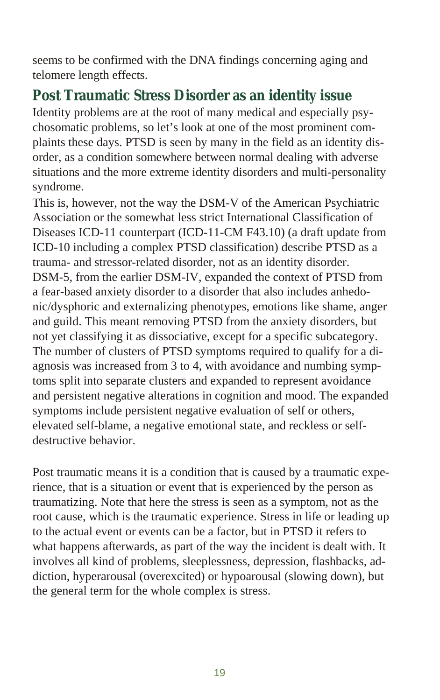seems to be confirmed with the DNA findings concerning aging and telomere length effects.

## Post Traumatic Stress Disorder as an identity issue

Identity problems are at the root of many medical and especially psycho somatic problems, so let's look at one of the most prominent complaints these days. PTSD is seen by many in the field as an identity disorder, as a condition somewhere between normal dealing with adverse situations and the more extreme identity disorders and multi-personality syndrome.

This is, however, not the way the DSM-V of the American Psychiatric Association or the somewhat less strict International Classification of Diseases ICD-11 counterpart (ICD-11-CM F43.10) (a draft update from ICD-10 including a complex PTSD classification) describe PTSD as a trauma- and stressor-related disorder, not as an identity disorder. DSM-5, from the earlier DSM-IV, expanded the context of PTSD from a fear-based anxiety disorder to a disorder that also includes anhedonic/ dysphoric and externalizing phenotypes, emotions like shame, anger and guild. This meant removing PTSD from the anxiety disorders, but not yet classifying it as dissociative, except for a specific subcategory. The number of clusters of PTSD symptoms required to qualify for a diagnosis was increased from  $3$  to  $4$ , with avoidance and numbing symptoms split into separate clusters and expanded to represent avoidance and persistent negative alterations in cognition and mood. The expanded symptoms include persistent negative evaluation of self or others, elevated self-blame, a negative emotional state, and reckless or self destructive behavior.

Post trau matic means it is a condition that is caused by a trau matic experience, that is a situation or event that is experienced by the person as traumatizing. Note that here the stress is seen as a symptom, not as the root cause, which is the traumatic experience. Stress in life or leading up to the actual event or events can be a factor, but in PTSD it refers to what happens afterwards, as part of the way the incident is dealt with. It involves all kind of problems, sleeplessness, depression, flashbacks, addiction, hyperarousal (over excited) or hypoarousal (slowing down), but the general term for the whole complex is stress.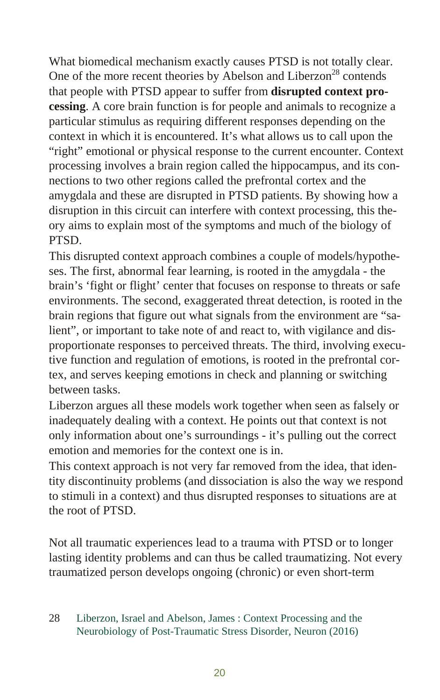What biomedical mechanism exactly causes PTSD is not totally clear. One of the more recent theories by Abelson and Liberzon<sup>28</sup> contends that people with PTSD appear to suffer from **disrupted context processing.** A core brain function is for people and animals to recognize a particular stimulus as requiring different responses depending on the context in which it is encountered. It's what allows us to call upon the "right" emotional or physical response to the current encounter. Context processing involves a brain region called the hippocampus, and its connections to two other regions called the prefrontal cortex and the amygdala and these are disrupted in PTSD patients. By showing how a disruption in this circuit can interfere with context processing, this theory aims to explain most of the symptoms and much of the biology of PTSD.

This disrupted context approach combines a couple of models/hypotheses. The first, abnormal fear learning, is rooted in the amygdala - the brain's 'fight or flight' center that focuses on response to threats or safe environments. The second, exaggerated threat detection, is rooted in the brain regions that figure out what signals from the environment are "salient", or important to take note of and react to, with vigilance and disproportionate responses to perceived threats. The third, involving executive function and regulation of emotions, is rooted in the prefrontal cortex, and serves keeping emotions in check and planning or switching between tasks.

Liberzon argues all these models work together when seen as falsely or in adequately dealing with a context. He points out that context is not only information about one's surroundings - it's pulling out the correct emotion and memories for the context one is in.

This context approach is not very far removed from the idea, that identity discontinuity problems (and dissociation is also the way we respond to stimuli in a context) and thus disrupted responses to situations are at the root of PTSD.

Not all traumatic experiences lead to a trauma with PTSD or to longer lasting identity problems and can thus be called traumatizing. Not every trau matized person develops ongoing (chronic) or even short-term

<sup>28</sup> Liberzon, Israel and Abelson, James: Context Processing and the Neurobiology of Post-Traumatic Stress Disorder, Neuron (2016)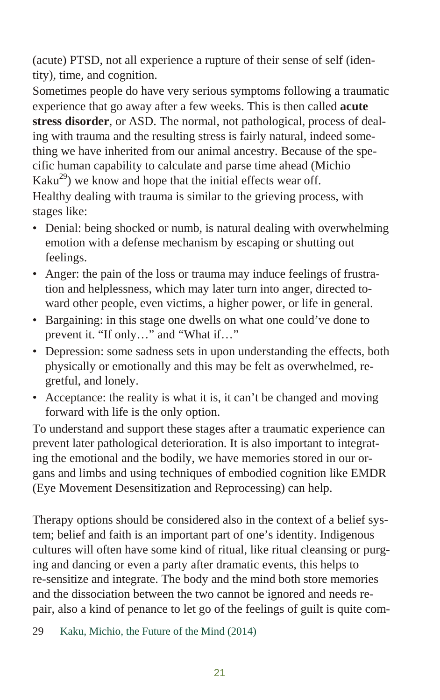(acute) PTSD, not all experience a rupture of their sense of self (identity), time, and cognition.

Sometimes people do have very serious symptoms following a traumatic experience that go away after a few weeks. This is then called **acute** stress disorder, or ASD. The normal, not pathological, process of dealing with trauma and the resulting stress is fairly natural, indeed something we have inherited from our animal ancestry. Because of the specific human capability to calculate and parse time ahead (Michio)  $Kaku<sup>29</sup>$ ) we know and hope that the initial effects wear off. Healthy dealing with trauma is similar to the grieving process, with stages like:

- Denial: being shocked or numb, is natural dealing with overwhelming emotion with a defense mechanism by escaping or shutting out feelings.
- Anger: the pain of the loss or trauma may induce feelings of frustration and helplessness, which may later turn into anger, directed toward other people, even victims, a higher power, or life in general.
- Bargaining: in this stage one dwells on what one could've done to prevent it. "If only..." and "What if..."
- Depression: some sadness sets in upon understanding the effects, both physically or emotionally and this may be felt as overwhelmed, regretful, and lonely.
- Acceptance: the reality is what it is, it can't be changed and moving forward with life is the only option.

To understand and support these stages after a traumatic experience can prevent later pathological deterioration. It is also important to integrating the emotional and the bodily, we have memories stored in our organs and limbs and using techniques of embodied cognition like EMDR (Eye Movement Desensitization and Reprocessing) can help.

Therapy options should be considered also in the context of a belief system; belief and faith is an important part of one's identity. Indigenous cultures will often have some kind of ritual, like ritual cleansing or purging and dancing or even a party after dramatic events, this helps to re-sensitize and integrate. The body and the mind both store memories and the dissociation between the two cannot be ignored and needs repair, also a kind of penance to let go of the feelings of guilt is quite com-

29 Kaku, Michio, the Future of the Mind (2014)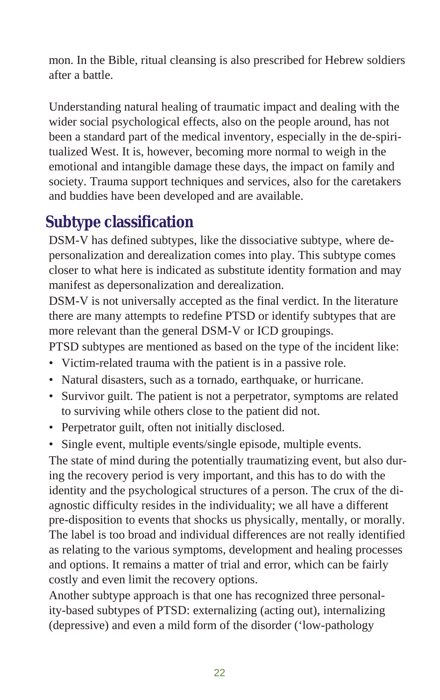mon. In the Bible, ritual cleansing is also prescribed for Hebrew soldiers after a battle.

Understanding natural healing of traumatic impact and dealing with the wider social psychological effects, also on the people around, has not been a standard part of the medical inventory, especially in the de-spiritualized West. It is, however, becoming more normal to weigh in the emotional and intangible damage these days, the impact on family and society. Trauma support techniques and services, also for the caretakers and buddies have been developed and are available.

## **Subtype** classification

DSM-V has defined subtypes, like the dissociative subtype, where depersonalization and derealization comes into play. This subtype comes closer to what here is indicated as substitute identity formation and may manifest as depersonalization and derealization.

DSM-V is not universally accepted as the final verdict. In the literature there are many attempts to redefine PTSD or identify subtypes that are more relevant than the general DSM-V or ICD groupings.

PTSD subtypes are mentioned as based on the type of the incident like:

- Victim-related trauma with the patient is in a passive role.
- Natural disasters, such as a tornado, earthquake, or hurricane.
- Survivor guilt. The patient is not a perpetrator, symptoms are related to surviving while others close to the patient did not.
- Perpetrator guilt, often not initially disclosed.
- Single event, multiple events/single episode, multiple events.

The state of mind during the potentially traumatizing event, but also during the recovery period is very important, and this has to do with the identity and the psychological structures of a person. The crux of the diagnostic difficulty resides in the individuality; we all have a different pre-disposition to events that shocks us physically, mentally, or morally. The label is too broad and individual differences are not really identified as relating to the various symptoms, development and healing processes and options. It remains a matter of trial and error, which can be fairly costly and even limit the recovery options.

Another subtype approach is that one has recognized three personality-based subtypes of PTSD: externalizing (acting out), internalizing (depressive) and even a mild form of the disorder ('low-pathology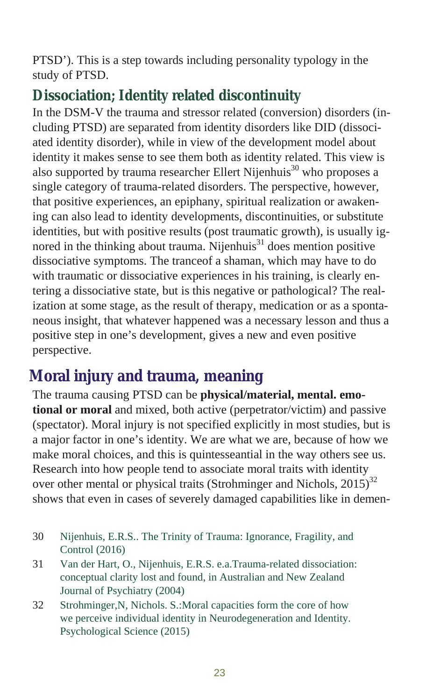<span id="page-22-0"></span>PTSD'). This is a step towards including personality typology in the study of PTSD.

## **Dissociation; Identity related discontinuity**

In the DSM-V the trauma and stressor related (conversion) disorders (including PTSD) are separated from identity disorders like DID (dissociated identity disorder), while in view of the development model about identity it makes sense to see them both as identity related. This view is also supported by trauma researcher Ellert Nijenhuis<sup>30</sup> who proposes a single category of trauma-related disorders. The perspective, however, that positive experiences, an epiphany, spiritual realization or awakening can also lead to identity developments, discontinuities, or substitute identities, but with positive results (post traumatic growth), is usually ignored in the thinking about trauma. Nijenhuis $31$  does mention positive dissociative symptoms. The tranceof a shaman, which may have to do with traumatic or dissociative experiences in his training, is clearly entering a dissociative state, but is this negative or pathological? The realization at some stage, as the result of therapy, medication or as a spontaneous insight, that whatever happened was a necessary lesson and thus a positive step in one's development, gives a new and even positive perspective.

## **Moral injury and trauma, meaning**

The trauma causing PTSD can be **physical/material, mental. emotional or moral** and mixed, both active (perpetrator/victim) and passive (spectator). Moral injury is not specified explicitly in most studies, but is a maior factor in one's identity. We are what we are, because of how we make moral choices, and this is quintesseantial in the way others see us. Research into how people tend to associate moral traits with identity over other mental or physical traits (Strohminger and Nichols,  $2015$ )<sup>32</sup> shows that even in cases of severely damaged capabilities like in demen-

- 30 Nijenhuis, E.R.S.. The Trinity of Trauma: Ignorance, Fragility, and Control  $(2016)$
- 31 Van der Hart, O., Nijenhuis, E.R.S. e.a.Trauma-related dissociation: conceptual clarity lost and found, in Australian and New Zealand Journal of Psychiatry (2004)
- 32 Strohminger, N, Nichols. S.: Moral capacities form the core of how we perceive individual identity in Neurodegeneration and Identity. Psychological Science (2015)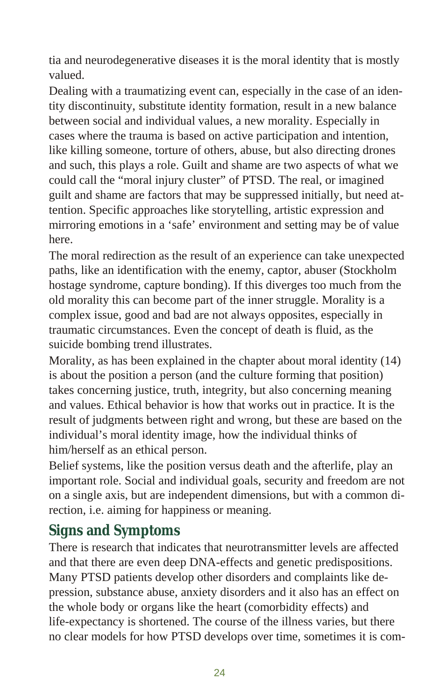<span id="page-23-0"></span>tia and neurodegenerative diseases it is the moral identity that is mostly valued.

Dealing with a traumatizing event can, especially in the case of an identity discontinuity, substitute identity formation, result in a new balance between social and individual values, a new morality. Especially in cases where the trauma is based on active participation and intention, like killing someone, torture of others, abuse, but also directing drones and such, this plays a role. Guilt and shame are two aspects of what we could call the "moral injury cluster" of PTSD. The real, or imagined guilt and shame are factors that may be suppressed initially, but need attention. Specific approaches like story telling, artistic expression and mirroring emotions in a 'safe' environment and setting may be of value here.

The moral redirection as the result of an experience can take unexpected paths, like an identification with the enemy, captor, abuser (Stockholm hostage syndrome, capture bonding). If this diverges too much from the old morality this can become part of the inner struggle. Morality is a complex issue, good and bad are not always opposites, especially in trau matic circumstances. Even the concept of death is fluid, as the suicide bombing trend illustrates.

Morality, as has been explained in the chapter about moral identity  $(14)$ is about the position a person (and the culture forming that position) takes concerning justice, truth, integrity, but also concerning meaning and values. Ethical behavior is how that works out in practice. It is the result of judgments between right and wrong, but these are based on the individual's moral identity image, how the individual thinks of him/herself as an ethical person.

Belief systems, like the position versus death and the after life, play an important role. Social and individual goals, security and freedom are not on a single axis, but are independent dimensions, but with a common direction, i.e. aiming for happiness or meaning.

#### **Signs and Symptoms**

There is research that indicates that neurotransmitter levels are affected and that there are even deep DNA-effects and genetic predispositions. Many PTSD patients develop other disorders and complaints like depression, substance abuse, anxiety disorders and it also has an effect on the whole body or organs like the heart (comorbidity effects) and life-expectancy is shortened. The course of the illness varies, but there no clear models for how PTSD develops over time, sometimes it is com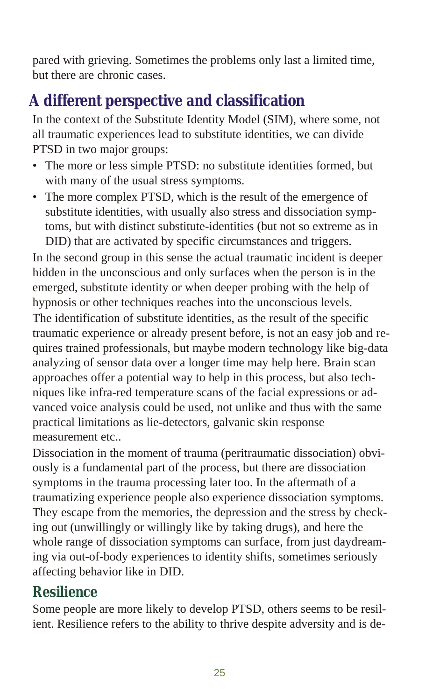pared with grieving. Sometimes the problems only last a limited time, but there are chronic cases.

# A different perspective and classification

In the context of the Substitute Identity Model (SIM), where some, not all trau matic experiences lead to substitute identities, we can divide PTSD in two major groups:

- The more or less simple PTSD: no substitute identities formed, but with many of the usual stress symptoms.
- The more complex PTSD, which is the result of the emergence of sub stitute identities, with usually also stress and dissociation symptoms, but with distinct substitute-identities (but not so extreme as in DID) that are activated by specific circumstances and triggers.

In the second group in this sense the actual traumatic incident is deeper hidden in the unconscious and only surfaces when the person is in the emerged, substitute identity or when deeper probing with the help of hypnosis or other techniques reaches into the unconscious levels.

The identification of substitute identities, as the result of the specific trau matic experience or already present before, is not an easy job and requires trained professionals, but maybe modern technology like big-data analyzing of sensor data over a longer time may help here. Brain scan approaches offer a potential way to help in this process, but also techniques like infra-red temperature scans of the facial expressions or advanced voice analysis could be used, not unlike and thus with the same practical limitations as lie-detectors, galvanic skin response measurement etc..

Dissociation in the moment of trauma (peritraumatic dissociation) obviously is a fundamental part of the process, but there are dissociation symptoms in the trauma processing later too. In the aftermath of a traumatizing experience people also experience dissociation symptoms. They escape from the memories, the depression and the stress by checking out (unwillingly or willingly like by taking drugs), and here the whole range of dissociation symptoms can surface, from just daydreaming via out-of-body experiences to identity shifts, sometimes seriously affecting behavior like in DID.

## **Re si lien ce**

Some people are more likely to develop PTSD, others seems to be resilient. Resilience refers to the ability to thrive despite adversity and is de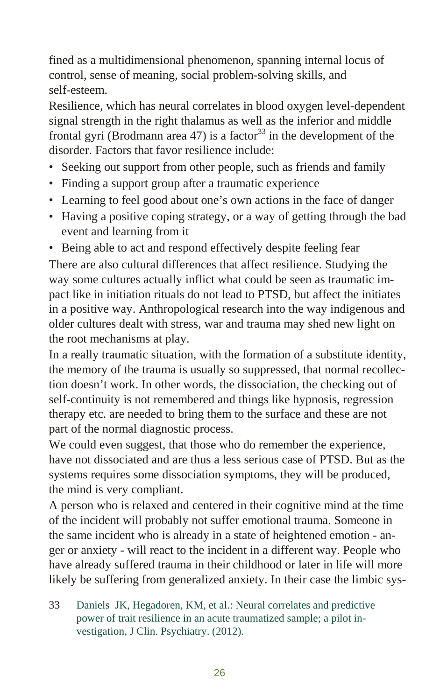fined as a multidimensional phenomenon, spanning internal locus of control, sense of meaning, social problem-solving skills, and self-esteem.

Resilience, which has neural correlates in blood oxygen level-dependent signal strength in the right thalamus as well as the inferior and middle frontal gyri (Brodmann area 47) is a factor<sup>33</sup> in the development of the disorder. Factors that favor resilience include:

- Seeking out support from other people, such as friends and family
- Finding a support group after a traumatic experience
- Learning to feel good about one's own actions in the face of danger
- Having a positive coping strategy, or a way of getting through the bad event and learning from it
- Being able to act and respond effectively despite feeling fear

There are also cultural differences that affect resilience. Studying the way some cultures actually inflict what could be seen as traumatic impact like in initiation rituals do not lead to PTSD, but affect the initiates in a positive way. Anthropological research into the way indigenous and older cultures dealt with stress, war and trauma may shed new light on the root mechanisms at play.

In a really traumatic situation, with the formation of a substitute identity, the memory of the trauma is usually so suppressed, that normal recollection doesn't work. In other words, the dissociation, the checking out of self-continuity is not remembered and things like hypnosis, regression therapy etc. are needed to bring them to the surface and these are not part of the normal diagnostic process.

We could even suggest, that those who do remember the experience, have not dissociated and are thus a less serious case of PTSD. But as the systems requires some dissociation symptoms, they will be produced, the mind is very compliant.

A person who is relaxed and centered in their cognitive mind at the time of the incident will probably not suffer emotional trauma. Someone in the same incident who is already in a state of heightened emotion - anger or anxiety - will react to the incident in a different way. People who have already suffered trauma in their childhood or later in life will more likely be suffering from generalized anxiety. In their case the limbic sys-

33 Daniels JK, Hegadoren, KM, et al.: Neural correlates and predictive power of trait resilience in an acute traumatized sample; a pilot investigation, J Clin. Psychiatry. (2012).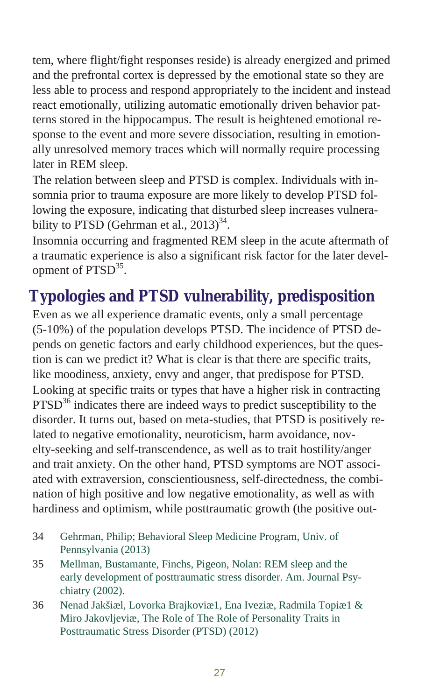<span id="page-26-0"></span>tem, where flight/fight responses reside) is already energized and primed and the prefrontal cortex is depressed by the emotional state so they are less able to process and respond appropriately to the incident and instead react emotionally, utilizing automatic emotionally driven behavior patterns stored in the hippocampus. The result is heightened emotional response to the event and more severe dissociation, resulting in emotionally unresolved memory traces which will normally require processing later in REM sleep.

The relation between sleep and PTSD is complex. Individuals with insomnia prior to trauma exposure are more likely to develop PTSD following the exposure, indicating that disturbed sleep increases vulnerability to PTSD (Gehrman et al.,  $2013)^{34}$ .

Insomnia occurring and fragmented REM sleep in the acute aftermath of a trau matic experience is also a significant risk factor for the later development of PTSD<sup>35</sup>.

## **Typologies and PTSD vulnerability, predisposition**

Even as we all experience dramatic events, only a small percentage  $(5-10%)$  of the population develops PTSD. The incidence of PTSD depends on genetic factors and early childhood experiences, but the question is can we predict it? What is clear is that there are specific traits, like moodiness, anxiety, envy and anger, that predispose for PTSD. Looking at specific traits or types that have a higher risk in contracting  $PTSD<sup>36</sup>$  indicates there are indeed ways to predict susceptibility to the disorder. It turns out, based on meta-studies, that PTSD is positively related to negative emotionality, neuroticism, harm avoidance, novelty-seeking and self-transcendence, as well as to trait hostility/anger and trait anxiety. On the other hand, PTSD symptoms are NOT associated with extraversion, conscientiousness, self-directedness, the combination of high positive and low negative emotionality, as well as with hardiness and optimism, while posttraumatic growth (the positive out-

- 34 Gehrman, Philip; Behavioral Sleep Medicine Program, Univ. of Pennsylvania (2013)
- 35 Mellman, Bustamante, Finchs, Pigeon, Nolan: REM sleep and the early development of posttraumatic stress disorder. Am. Journal Psychiatry  $(2002)$ .
- 36 Nenad Jakšiæl, Lovorka Brajkoviæ1, Ena Iveziæ, Radmila Topiæ1 & Miro Jakovljeviæ, The Role of The Role of Personality Traits in Posttraumatic Stress Disorder (PTSD) (2012)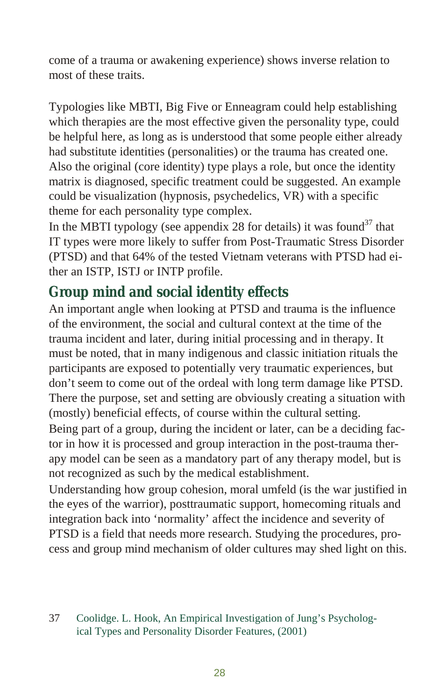come of a trauma or awakening experience) shows inverse relation to most of these traits.

Typologies like MBTI, Big Five or Enneagram could help establishing which therapies are the most effective given the personality type, could be help ful here, as long as is understood that some people either already had sub stitute identities (personalities) or the trauma has created one. Also the original (core identity) type plays a role, but once the identity matrix is diagnosed, specific treatment could be suggested. An example could be visualization (hypnosis, psychedelics, VR) with a specific theme for each personality type complex.

In the MBTI typology (see appendix 28 for details) it was found  $37$  that IT types were more likely to suffer from Post-Traumatic Stress Disorder (PTSD) and that 64% of the tested Vietnam veterans with PTSD had either an ISTP, ISTJ or INTP profile.

## Group mind and social identity effects

An important angle when looking at PTSD and trauma is the influence of the environment, the social and cultural context at the time of the trauma incident and later, during initial processing and in therapy. It must be noted, that in many indigenous and classic initiation rituals the participants are exposed to potentially very traumatic experiences, but don't seem to come out of the ordeal with long term damage like PTSD. There the purpose, set and setting are obviously creating a situation with (mostly) beneficial effects, of course within the cultural setting.

Being part of a group, during the incident or later, can be a deciding factor in how it is processed and group interaction in the post-trauma therapy model can be seen as a mandatory part of any therapy model, but is not recognized as such by the medical establishment.

Understanding how group cohesion, moral umfeld (is the war justified in the eyes of the warrior), posttraumatic support, homecoming rituals and integration back into 'normality' affect the incidence and severity of PTSD is a field that needs more research. Studying the procedures, process and group mind mechanism of older cultures may shed light on this.

37 Coolidge. L. Hook, An Empirical Investigation of Jung's Psychological Types and Personality Disorder Features, (2001)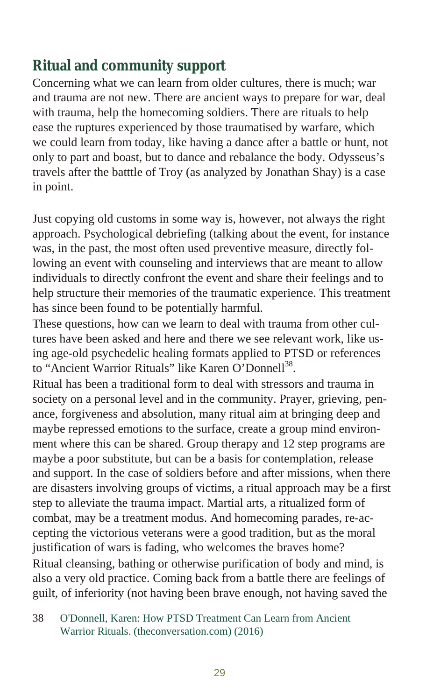## **Ritual and community support**

Concerning what we can learn from older cultures, there is much; war and trauma are not new. There are ancient ways to prepare for war, deal with trauma, help the homecoming soldiers. There are rituals to help ease the ruptures experienced by those traumatised by warfare, which we could learn from today, like having a dance after a battle or hunt, not only to part and boast, but to dance and rebalance the body. Odysseus's travels after the batttle of Troy (as analyzed by Jonathan Shay) is a case in point.

Just copying old customs in some way is, however, not always the right approach. Psychological debriefing (talking about the event, for instance was, in the past, the most often used preventive measure, directly following an event with counseling and interviews that are meant to allow individuals to directly confront the event and share their feelings and to help structure their memories of the traumatic experience. This treatment has since been found to be potentially harmful.

These questions, how can we learn to deal with trauma from other cultures have been asked and here and there we see relevant work, like using age-old psychedelic healing formats applied to PTSD or references to "Ancient Warrior Rituals" like Karen O'Donnell<sup>38</sup>.

Ritual has been a traditional form to deal with stressors and trauma in society on a personal level and in the community. Prayer, grieving, penance, for giveness and absolution, many ritual aim at bringing deep and maybe repressed emotions to the surface, create a group mind environment where this can be shared. Group therapy and 12 step programs are maybe a poor substitute, but can be a basis for contemplation, release and support. In the case of soldiers before and after missions, when there are disasters involving groups of victims, a ritual approach may be a first step to alleviate the trauma impact. Martial arts, a ritualized form of combat, may be a treatment modus. And homecoming parades, re-accepting the victorious veterans were a good tradition, but as the moral justification of wars is fading, who welcomes the braves home? Ritual cleansing, bathing or otherwise purification of body and mind, is

also a very old practice. Coming back from a battle there are feelings of guilt, of inferiority (not having been brave enough, not having saved the

38 O'Donnell, Karen: How PTSD Treatment Can Learn from Ancient Warrior Rituals. (theconversation.com) (2016)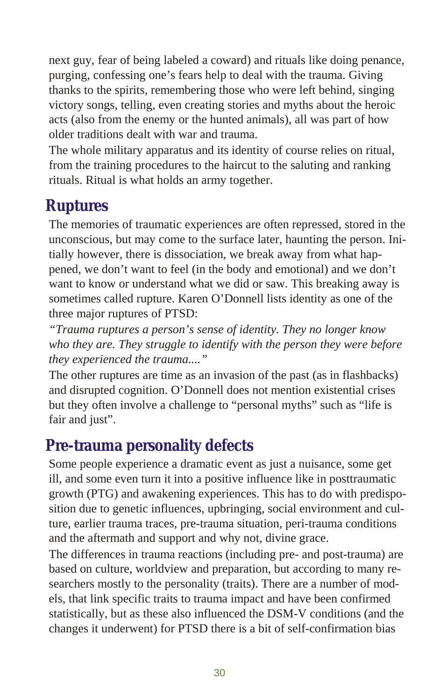<span id="page-29-0"></span>next guy, fear of being labeled a coward) and rituals like doing penance, purging, confessing one's fears help to deal with the trauma. Giving thanks to the spirits, remembering those who were left behind, singing victory songs, telling, even creating stories and myths about the heroic acts (also from the enemy or the hunted animals), all was part of how older traditions dealt with war and trauma.

The whole military apparatus and its identity of course relies on ritual, from the training procedures to the haircut to the saluting and ranking rituals. Ritual is what holds an army together.

## **Rup tu res**

The memories of traumatic experiences are often repressed, stored in the un conscious, but may come to the surface later, haunting the person. Initially however, there is dissociation, we break away from what happened, we don't want to feel (in the body and emotional) and we don't want to know or understand what we did or saw. This breaking away is sometimes called rupture. Karen O'Donnell lists identity as one of the three major ruptures of PTSD:

*"Trauma rup tures a per son's sense of iden tity. They no lon ger know* who they are. They struggle to identify with the person they were before *they ex pe ri enced the trauma...."* 

The other rup tures are time as an invasion of the past (as in flashbacks) and disrupted cognition. O'Donnell does not mention existential crises but they often involve a challenge to "personal myths" such as "life is fair and just".

## **Pre-trauma personality defects**

Some people experience a dramatic event as just a nuisance, some get ill, and some even turn it into a positive influence like in posttraumatic growth (PTG) and awakening experiences. This has to do with predisposition due to genetic influences, upbringing, social environment and culture, earlier trauma traces, pre-trauma situation, peri-trauma conditions and the aftermath and support and why not, divine grace.

The differences in trauma reactions (including pre- and post-trauma) are based on culture, worldview and preparation, but according to many researchers mostly to the personality (traits). There are a number of models, that link specific traits to trauma impact and have been confirmed statistically, but as these also influenced the DSM-V conditions (and the changes it underwent) for PTSD there is a bit of self-confirmation bias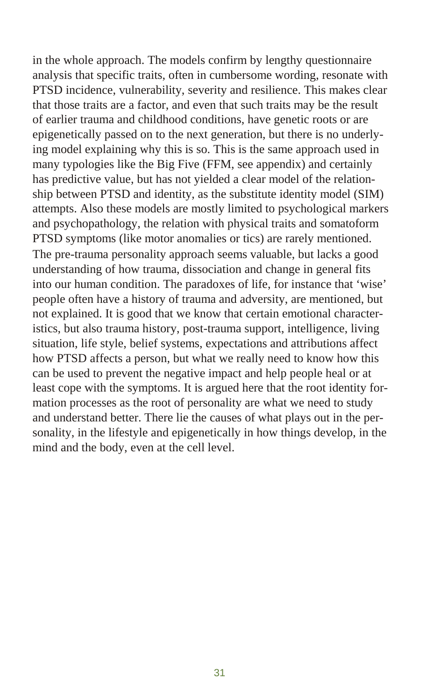in the whole approach. The models confirm by lengthy questionnaire analysis that specific traits, often in cumbersome wording, resonate with PTSD incidence, vulnerability, severity and resilience. This makes clear that those traits are a factor, and even that such traits may be the result of earlier trauma and childhood conditions, have genetic roots or are epigenetically passed on to the next generation, but there is no underlying model explaining why this is so. This is the same approach used in many typologies like the Big Five (FFM, see appendix) and certainly has predictive value, but has not yielded a clear model of the relationship between PTSD and identity, as the substitute identity model (SIM) attempts. Also these models are mostly limited to psychological markers and psychopathology, the relation with physical traits and somatoform PTSD symptoms (like motor anomalies or tics) are rarely mentioned. The pre-trauma personality approach seems valuable, but lacks a good under standing of how trauma, dissociation and change in general fits into our human condition. The paradoxes of life, for instance that 'wise' people often have a history of trauma and adversity, are mentioned, but not explained. It is good that we know that certain emotional characteristics, but also trauma history, post-trauma support, intelligence, living situation, life style, belief systems, expectations and attributions affect how PTSD affects a person, but what we really need to know how this can be used to prevent the negative impact and help people heal or at least cope with the symptoms. It is argued here that the root identity formation processes as the root of personality are what we need to study and understand better. There lie the causes of what plays out in the personality, in the lifestyle and epigenetically in how things develop, in the mind and the body, even at the cell level.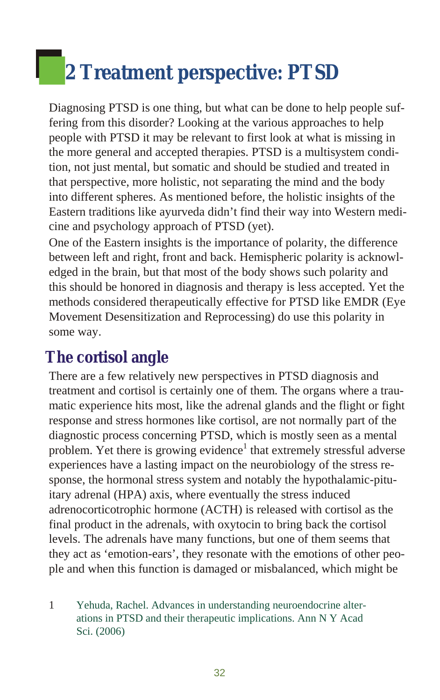# <span id="page-31-0"></span>**2** Treatment perspective: PTSD

Diagnosing PTSD is one thing, but what can be done to help people suffering from this disorder? Looking at the various approaches to help people with PTSD it may be relevant to first look at what is missing in the more general and accepted therapies. PTSD is a multisystem condition, not just mental, but somatic and should be studied and treated in that perspective, more holistic, not separating the mind and the body into different spheres. As mentioned before, the holistic insights of the Eastern traditions like ayurveda didn't find their way into Western medicine and psychology approach of PTSD (yet).

One of the Eastern in sights is the importance of polarity, the difference between left and right, front and back. Hemispheric polarity is acknowledged in the brain, but that most of the body shows such polarity and this should be honored in diagnosis and therapy is less accepted. Yet the methods considered therapeutically effective for PTSD like EMDR (Eye Movement Desensitization and Reprocessing) do use this polarity in some way.

## **The cortisol angle**

There are a few relatively new perspectives in PTSD diagnosis and treatment and cortisol is certainly one of them. The organs where a traumatic experience hits most, like the adrenal glands and the flight or fight response and stress hormones like cortisol, are not normally part of the diagnostic process concerning PTSD, which is mostly seen as a mental problem. Yet there is growing evidence<sup>1</sup> that extremely stressful adverse experiences have a lasting impact on the neurobiology of the stress response, the hormonal stress system and notably the hypothalamic-pituitary adrenal (HPA) axis, where eventually the stress induced adrenocorticotrophic hormone (ACTH) is released with cortisol as the final product in the adrenals, with oxytocin to bring back the cortisol levels. The adrenals have many functions, but one of them seems that they act as 'emotion-ears', they resonate with the emotions of other people and when this function is damaged or misbalanced, which might be

<sup>1</sup> Yehuda, Rachel. Advances in understanding neuroendocrine alterations in PTSD and their therapeutic implications. Ann N Y Acad Sci. (2006)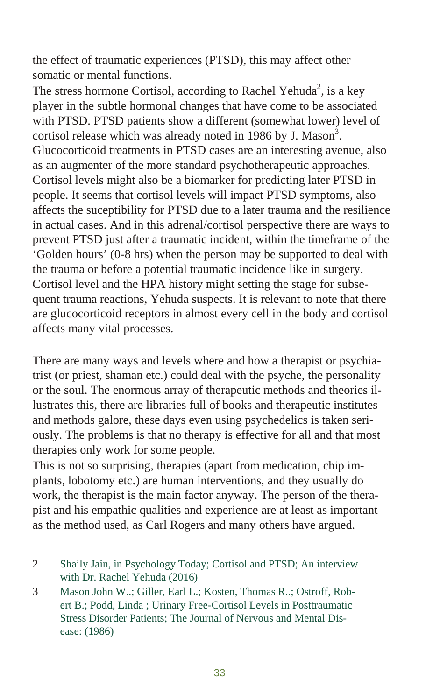the effect of traumatic experiences (PTSD), this may affect other somatic or mental functions.

The stress hormone Cortisol, according to Rachel Yehuda<sup>2</sup>, is a key player in the subtle hormonal changes that have come to be associated with PTSD. PTSD patients show a different (somewhat lower) level of cortisol release which was already noted in 1986 by J. Mason<sup>3</sup>. Glucocorticoid treatments in PTSD cases are an interesting avenue, also as an augmenter of the more standard psychotherapeutic approaches. Cortisol levels might also be a biomarker for predicting later PTSD in people. It seems that cortisol levels will impact PTSD symptoms, also affects the suceptibility for PTSD due to a later trauma and the resilience in actual cases. And in this adrenal/cortisol perspective there are ways to prevent PTSD just after a traumatic incident, within the timeframe of the 'Golden hours' (0-8 hrs) when the person may be supported to deal with the trauma or before a potential traumatic incidence like in surgery. Cortisol level and the HPA history might setting the stage for subsequent trauma reactions, Yehuda suspects. It is relevant to note that there are glucocorticoid receptors in almost every cell in the body and cortisol affects many vital processes.

There are many ways and levels where and how a therapist or psychiatrist (or priest, shaman etc.) could deal with the psyche, the personality or the soul. The enormous array of therapeutic methods and theories illustrates this, there are libraries full of books and ther a peutic in stitutes and methods galore, these days even using psychedelics is taken seriously. The problems is that no therapy is effective for all and that most therapies only work for some people.

This is not so surprising, therapies (apart from medication, chip implants, lobotomy etc.) are human interventions, and they usually do work, the therapist is the main factor anyway. The person of the therapist and his empathic qualities and experience are at least as important as the method used, as Carl Rogers and many others have argued.

- 2 Shaily Jain, in Psychology Today; Cortisol and PTSD; An interview with Dr. Rachel Yehuda (2016)
- 3 Mason John W..; Giller, Earl L.; Kosten, Thomas R..; Ostroff, Robert B.: Podd, Linda ; Urinary Free-Cortisol Levels in Posttraumatic Stress Disorder Patients; The Journal of Nervous and Mental Disease: (1986)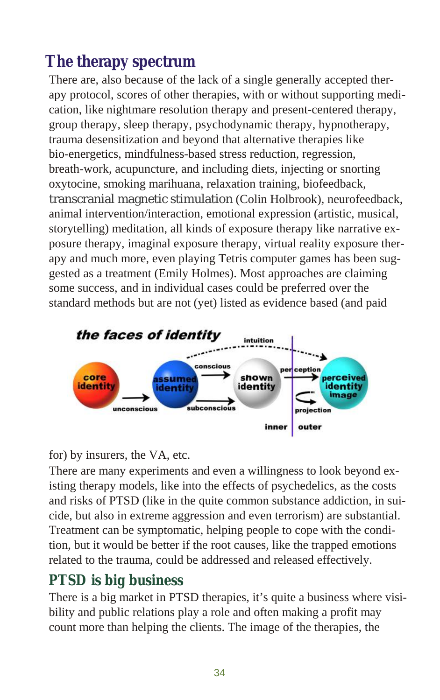# <span id="page-33-0"></span>The therapy spectrum

There are, also because of the lack of a single generally accepted therapy protocol, scores of other therapies, with or without supporting medication, like night mare resolution ther apy and present-centered therapy, group therapy, sleep therapy, psychodynamic therapy, hypnotherapy, trauma desensitization and beyond that alternative therapies like bio-energetics, mindfulness-based stress reduction, regression, breath-work, acupuncture, and including diets, injecting or snorting oxytocine, smoking marihuana, relaxation training, biofeedback, transcranial magnetic stimulation (Colin Holbrook), neurofeedback, animal intervention/interaction, emotional expression (artistic, musical, story telling) meditation, all kinds of exposure therapy like narrative exposure therapy, imaginal exposure therapy, virtual reality exposure therapy and much more, even playing Tetris computer games has been suggested as a treatment (Emily Holmes). Most approaches are claiming some success, and in individual cases could be preferred over the standard methods but are not (yet) listed as evidence based (and paid



for) by insurers, the VA, etc.

There are many experiments and even a willingness to look beyond existing therapy models, like into the effects of psychedelics, as the costs and risks of PTSD (like in the quite common substance addiction, in suicide, but also in extreme aggression and even terrorism) are substantial. Treatment can be symptomatic, helping people to cope with the condition, but it would be better if the root causes, like the trapped emotions related to the trauma, could be addressed and released effectively.

#### **PTSD** is big business

There is a big market in PTSD therapies, it's quite a business where visibility and public relations play a role and often making a profit may count more than helping the clients. The image of the therapies, the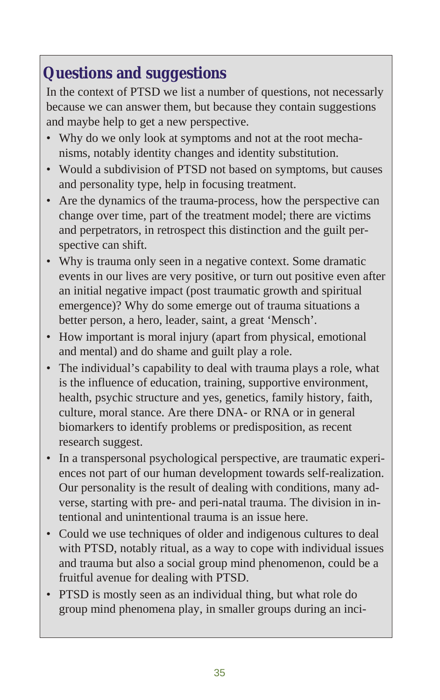## <span id="page-34-0"></span>**Questions and suggestions**

In the context of PTSD we list a number of questions, not necessarly because we can answer them, but because they contain suggestions and maybe help to get a new perspective.

- Why do we only look at symptoms and not at the root mechanisms, notably identity changes and identity substitution.
- Would a subdivision of PTSD not based on symptoms, but causes and personality type, help in focusing treatment.
- Are the dynamics of the trauma-process, how the perspective can change over time, part of the treatment model; there are victims and perpetrators, in retrospect this distinction and the guilt perspective can shift.
- Why is trauma only seen in a negative context. Some dramatic events in our lives are very positive, or turn out positive even after an initial negative impact (post traumatic growth and spiritual emergence)? Why do some emerge out of trauma situations a better person, a hero, leader, saint, a great 'Mensch'.
- How important is moral injury (apart from physical, emotional and mental) and do shame and guilt play a role.
- The individual's capability to deal with trauma plays a role, what is the influence of education, training, supportive environment, health, psychic structure and yes, genetics, family history, faith, culture, moral stance. Are there DNA- or RNA or in general biomarkers to identify problems or predisposition, as recent research suggest.
- In a transpersonal psychological perspective, are traumatic experiences not part of our human development towards self-realization. Our personality is the result of dealing with conditions, many adverse, starting with pre- and peri-natal trauma. The division in intentional and unintentional trauma is an issue here.
- Could we use techniques of older and indigenous cultures to deal with PTSD, notably ritual, as a way to cope with individual issues and trauma but also a social group mind phenomenon, could be a fruitful avenue for dealing with PTSD.
- PTSD is mostly seen as an individual thing, but what role do group mind phenomena play, in smaller groups during an inci-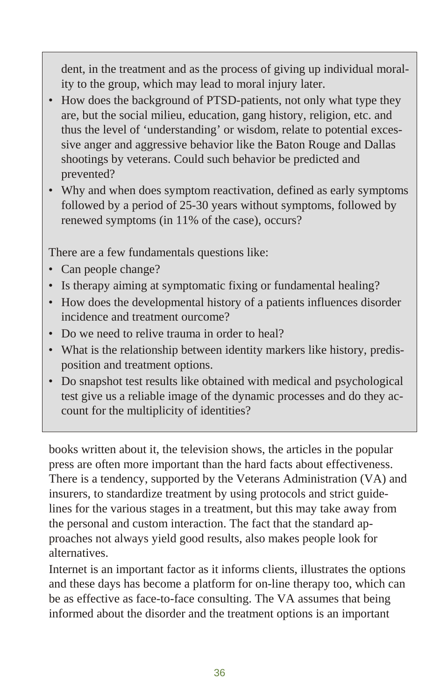dent, in the treatment and as the process of giving up individual morality to the group, which may lead to moral injury later.

- How does the background of PTSD-patients, not only what type they are, but the social milieu, education, gang history, religion, etc. and thus the level of 'understanding' or wisdom, relate to potential excessive anger and aggressive behavior like the Baton Rouge and Dallas shootings by veterans. Could such behavior be predicted and prevented?
- Why and when does symptom reactivation, defined as early symptoms followed by a period of 25-30 years without symptoms, followed by renewed symptoms (in 11% of the case), occurs?

There are a few fundamentals questions like:

- Can people change?
- Is therapy aiming at symptomatic fixing or fundamental healing?
- How does the developmental history of a patients influences disorder incidence and treatment ourcome?
- Do we need to relive trauma in order to heal?
- What is the relationship between identity markers like history, predisposition and treatment options.
- Do snapshot test results like obtained with medical and psychological test give us a reliable image of the dynamic processes and do they account for the multiplicity of identities?

books written about it, the television shows, the articles in the popular press are often more important than the hard facts about effectiveness. There is a tendency, supported by the Veterans Administration (VA) and insurers, to standardize treatment by using protocols and strict guidelines for the various stages in a treatment, but this may take away from the personal and custom interaction. The fact that the standard approaches not al ways yield good results, also makes people look for alternatives.

Internet is an important factor as it informs clients, illustrates the options and these days has become a platform for on-line therapy too, which can be as effective as face-to-face consulting. The VA assumes that being informed about the disorder and the treatment options is an important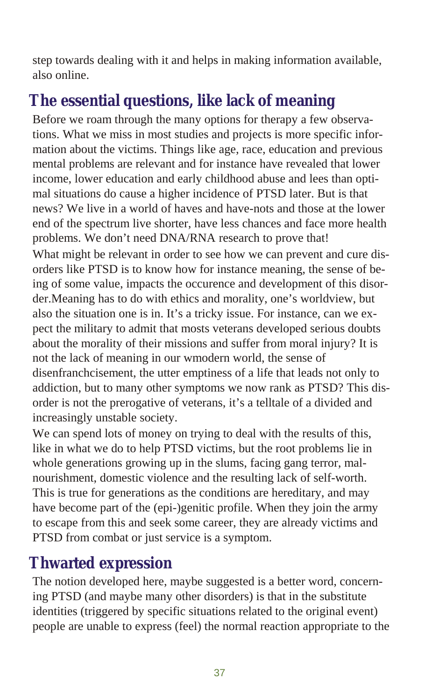<span id="page-36-0"></span>step towards dealing with it and helps in making information available, also online.

## The essential questions, like lack of meaning

Before we roam through the many options for therapy a few observations. What we miss in most studies and projects is more specific information about the victims. Things like age, race, education and previous mental problems are relevant and for instance have revealed that lower in come, lower education and early childhood abuse and lees than optimal situations do cause a higher incidence of PTSD later. But is that news? We live in a world of haves and have-nots and those at the lower end of the spectrum live shorter, have less chances and face more health problems. We don't need DNA/RNA research to prove that! What might be relevant in order to see how we can prevent and cure disorders like PTSD is to know how for instance meaning, the sense of being of some value, impacts the occurence and development of this disorder. Meaning has to do with ethics and morality, one's worldview, but also the situation one is in. It's a tricky issue. For instance, can we expect the military to admit that mosts veterans developed serious doubts about the morality of their missions and suffer from moral injury? It is not the lack of meaning in our wmodern world, the sense of disenfranchcisement, the utter emptiness of a life that leads not only to addiction, but to many other symptoms we now rank as PTSD? This disorder is not the prerogative of veterans, it's a telltale of a divided and increasingly unstable society.

We can spend lots of money on trying to deal with the results of this, like in what we do to help PTSD victims, but the root problems lie in whole generations growing up in the slums, facing gang terror, malnourishment, domestic violence and the resulting lack of self-worth. This is true for generations as the conditions are hereditary, and may have become part of the (epi-)genitic profile. When they join the army to escape from this and seek some career, they are already victims and PTSD from combat or just service is a symptom.

## **Thwarted expression**

The notion developed here, maybe suggested is a better word, concerning PTSD (and maybe many other disorders) is that in the substitute identities (triggered by specific situations related to the original event) people are unable to express (feel) the normal reaction appropriate to the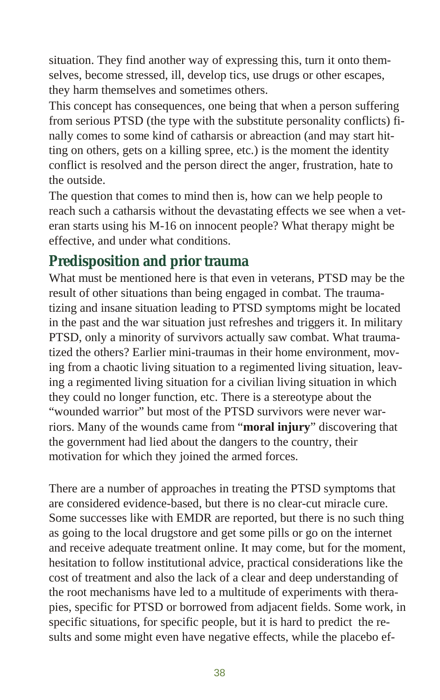situation. They find another way of expressing this, turn it onto themselves, become stressed, ill, develop tics, use drugs or other escapes, they harm themselves and sometimes others.

This concept has consequences, one being that when a person suffering from serious PTSD (the type with the substitute personality conflicts) finally comes to some kind of catharsis or abreaction (and may start hitting on others, gets on a killing spree, etc.) is the moment the identity conflict is resolved and the person direct the anger, frustration, hate to the outside.

The question that comes to mind then is, how can we help people to reach such a catharsis without the devastating effects we see when a veteran starts using his M-16 on innocent people? What therapy might be effective, and under what conditions.

#### **Predisposition and prior trauma**

What must be mentioned here is that even in veterans, PTSD may be the re sult of other situations than being engaged in combat. The traumatizing and insane situation leading to PTSD symptoms might be located in the past and the war situation just refreshes and triggers it. In military PTSD, only a minority of survivors actually saw combat. What traumatized the others? Earlier mini-traumas in their home environment, moving from a chaotic living situation to a regimented living situation, leaving a regimented living situation for a civilian living situation in which they could no longer function, etc. There is a stereotype about the "wounded warrior" but most of the PTSD survivors were never warriors. Many of the wounds came from "**moral injury**" discovering that the government had lied about the dangers to the country, their motivation for which they joined the armed forces.

There are a number of approaches in treating the PTSD symptoms that are considered evidence-based, but there is no clear-cut miracle cure. Some successes like with EMDR are reported, but there is no such thing as going to the local drugstore and get some pills or go on the internet and receive adequate treatment online. It may come, but for the moment, hesitation to follow institutional advice, practical considerations like the cost of treatment and also the lack of a clear and deep understanding of the root mechanisms have led to a multitude of experiments with therapies, specific for PTSD or borrowed from adjacent fields. Some work, in specific situations, for specific people, but it is hard to predict the results and some might even have negative effects, while the placebo ef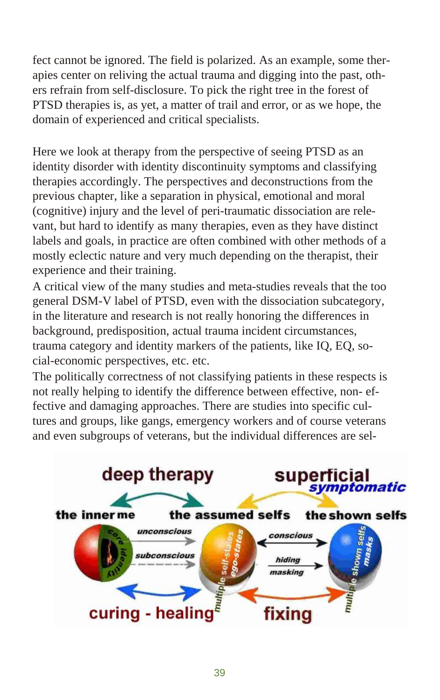fect cannot be ignored. The field is polarized. As an example, some therapies center on reliving the actual trauma and digging into the past, others refrain from self-disclosure. To pick the right tree in the forest of PTSD therapies is, as yet, a matter of trail and error, or as we hope, the domain of experienced and critical specialists.

Here we look at therapy from the perspective of seeing PTSD as an identity disorder with identity discontinuity symptoms and classifying therapies accordingly. The perspectives and deconstructions from the previous chapter, like a separation in physical, emotional and moral (cognitive) in jury and the level of peri-traumatic dissociation are relevant, but hard to identify as many therapies, even as they have distinct labels and goals, in practice are often combined with other methods of a mostly eclectic nature and very much depending on the therapist, their experience and their training.

A critical view of the many studies and meta-studies reveals that the too general DSM-V label of PTSD, even with the dissociation subcategory, in the literature and research is not really honoring the differences in back ground, predisposition, actual trauma incident circum stances, trauma category and identity markers of the patients, like IQ, EQ, social-economic perspectives, etc. etc.

The politically correctness of not classifying patients in these respects is not really helping to identify the difference between effective, non-effective and damaging approaches. There are studies into specific cultures and groups, like gangs, emergency workers and of course veterans and even subgroups of veterans, but the individual differences are sel-

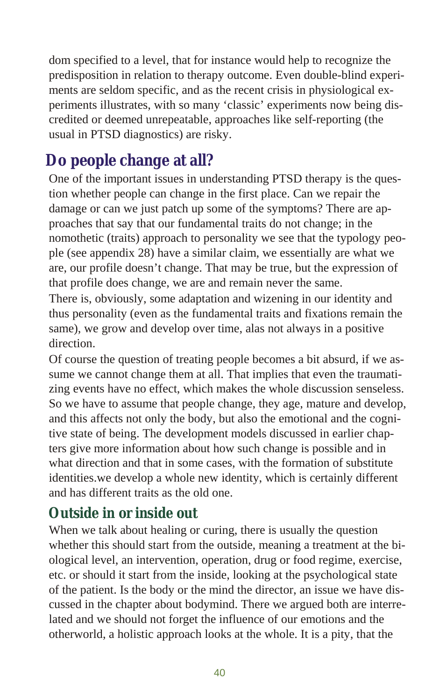<span id="page-39-0"></span>dom specified to a level, that for instance would help to recognize the predisposition in relation to therapy outcome. Even double-blind experiments are seldom specific, and as the recent crisis in physiological experiments illustrates, with so many 'classic' experiments now being discredited or deemed unrepeatable, approaches like self-reporting (the usual in PTSD diagnostics) are risky.

## **Do people change at all?**

One of the important issues in understanding PTSD therapy is the question whether people can change in the first place. Can we repair the damage or can we just patch up some of the symptoms? There are approaches that say that our fundamental traits do not change; in the nomothetic (traits) approach to personality we see that the typology people (see appendix 28) have a similar claim, we essentially are what we are, our profile doesn't change. That may be true, but the expression of that profile does change, we are and remain never the same.

There is, obviously, some adaptation and wizening in our identity and thus personality (even as the fundamental traits and fixations remain the same), we grow and develop over time, alas not always in a positive direction.

Of course the question of treating people becomes a bit absurd, if we assume we cannot change them at all. That implies that even the traumatizing events have no effect, which makes the whole discussion senseless. So we have to assume that people change, they age, mature and develop, and this affects not only the body, but also the emotional and the cognitive state of being. The development models discussed in earlier chapters give more information about how such change is possible and in what direction and that in some cases, with the formation of substitute identities, we develop a whole new identity, which is certainly different and has different traits as the old one.

#### **Outside in or inside out**

When we talk about healing or curing, there is usually the question whether this should start from the outside, meaning a treatment at the biological level, an intervention, operation, drug or food regime, exercise, etc. or should it start from the inside, looking at the psychological state of the patient. Is the body or the mind the director, an issue we have discussed in the chapter about bodymind. There we argued both are interrelated and we should not forget the influence of our emotions and the otherworld, a holistic approach looks at the whole. It is a pity, that the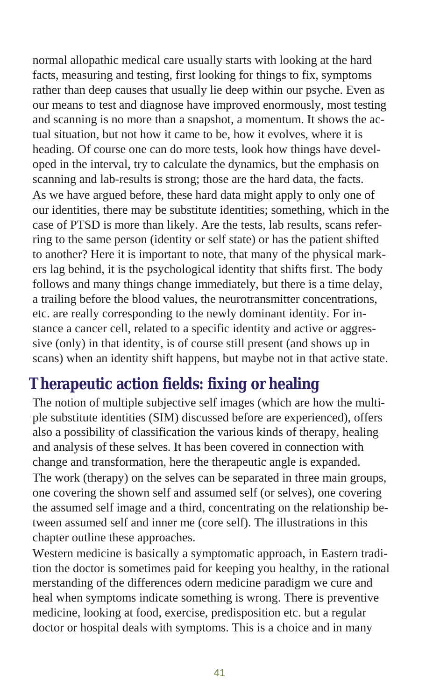<span id="page-40-0"></span>normal allopathic medical care usually starts with looking at the hard facts, measuring and testing, first looking for things to fix, symptoms rather than deep causes that usually lie deep within our psyche. Even as our means to test and diagnose have improved enormously, most testing and scanning is no more than a snapshot, a momentum. It shows the actual situation, but not how it came to be, how it evolves, where it is heading. Of course one can do more tests, look how things have developed in the interval, try to calculate the dynamics, but the emphasis on scanning and lab-results is strong; those are the hard data, the facts. As we have argued before, these hard data might apply to only one of our identities, there may be substitute identities; something, which in the case of PTSD is more than likely. Are the tests, lab results, scans referring to the same person (identity or self state) or has the patient shifted to another? Here it is important to note, that many of the physical markers lag behind, it is the psychological identity that shifts first. The body follows and many things change immediately, but there is a time delay, a trailing before the blood values, the neurotransmitter concentrations, etc. are really corresponding to the newly dominant identity. For instance a cancer cell, related to a specific identity and active or aggressive (only) in that identity, is of course still present (and shows up in scans) when an identity shift happens, but maybe not in that active state.

## **Therapeutic action fields: fixing or healing**

The notion of multiple subjective self images (which are how the multiple substitute identities (SIM) discussed before are experienced), offers also a possibility of classification the various kinds of therapy, healing and analysis of these selves. It has been covered in connection with change and transformation, here the therapeutic angle is expanded. The work (therapy) on the selves can be separated in three main groups, one covering the shown self and assumed self (or selves), one covering the assumed self image and a third, concentrating on the relationship between assumed self and inner me (core self). The illustrations in this chapter outline these approaches.

Western medicine is basically a symptomatic approach, in Eastern tradition the doctor is sometimes paid for keeping you healthy, in the rational merstanding of the differences odern medicine paradigm we cure and heal when symptoms indicate something is wrong. There is preventive medicine, looking at food, exercise, predisposition etc. but a regular doctor or hospital deals with symptoms. This is a choice and in many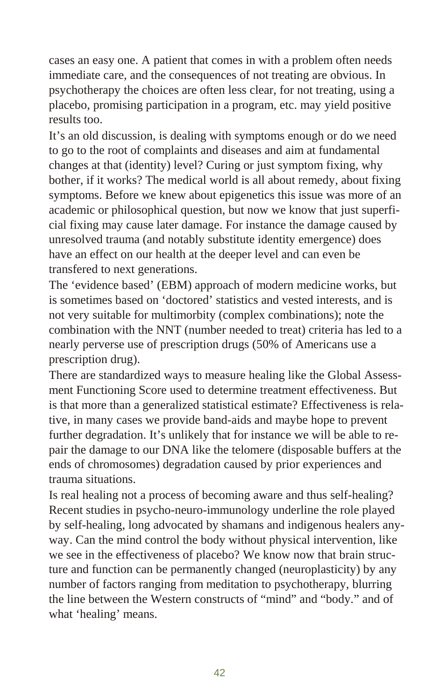cases an easy one. A patient that comes in with a problem often needs immediate care, and the consequences of not treating are obvious. In psycho ther apy the choices are often less clear, for not treating, using a placebo, promising participation in a program, etc. may yield positive results too.

It's an old discussion, is dealing with symptoms enough or do we need to go to the root of complaints and diseases and aim at fundamental changes at that (identity) level? Curing or just symptom fixing, why bother, if it works? The medical world is all about remedy, about fixing symptoms. Before we knew about epigenetics this issue was more of an academic or philosophical question, but now we know that just superficial fixing may cause later damage. For instance the damage caused by un resolved trauma (and notably substitute identity emergence) does have an effect on our health at the deeper level and can even be transfered to next generations.

The 'evidence based' (EBM) approach of modern medicine works, but is sometimes based on 'doctored' statistics and vested interests, and is not very suitable for multimorbity (complex combinations); note the combination with the NNT (number needed to treat) criteria has led to a nearly perverse use of prescription drugs (50% of Americans use a prescription drug).

There are standardized ways to measure healing like the Global Assessment Functioning Score used to determine treatment effectiveness. But is that more than a generalized statistical estimate? Effectiveness is relative, in many cases we provide band-aids and maybe hope to prevent further degradation. It's unlikely that for instance we will be able to repair the damage to our DNA like the telomere (disposable buffers at the ends of chromosomes) degradation caused by prior experiences and trauma situations.

Is real healing not a process of becoming aware and thus self-healing? Recent studies in psycho-neuro-immunology underline the role played by self-healing, long advocated by shamans and indigenous healers anyway. Can the mind control the body without physical intervention, like we see in the effectiveness of placebo? We know now that brain structure and function can be permanently changed (neuroplasticity) by any number of factors ranging from meditation to psychotherapy, blurring the line between the Western constructs of "mind" and "body." and of what 'healing' means.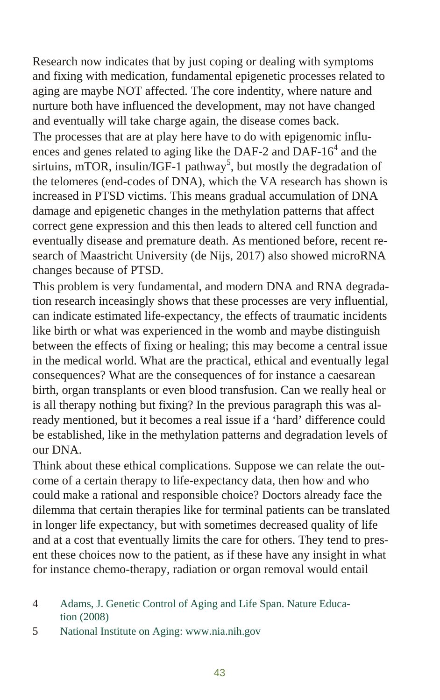Research now indicates that by just coping or dealing with symptoms and fixing with medication, fundamental epigenetic processes related to aging are maybe NOT affected. The core indentity, where nature and nur ture both have influenced the development, may not have changed and eventually will take charge again, the disease comes back.

The processes that are at play here have to do with epigenomic influences and genes related to aging like the DAF-2 and DAF-16 $4$  and the sirtuins, mTOR, insulin/IGF-1 pathway<sup>5</sup>, but mostly the degradation of the telomeres (end-codes of DNA), which the VA research has shown is increased in PTSD victims. This means gradual accumulation of DNA damage and epigenetic changes in the methylation patterns that affect correct gene expression and this then leads to altered cell function and eventually disease and premature death. As mentioned before, recent research of Maastricht University (de Nijs, 2017) also showed microRNA changes because of PTSD.

This problem is very fundamental, and modern DNA and RNA degradation research inceasingly shows that these processes are very influential, can indicate estimated life-expectancy, the effects of traumatic incidents like birth or what was experienced in the womb and maybe distinguish between the effects of fixing or healing; this may become a central issue in the medical world. What are the practical, ethical and eventually legal consequences? What are the consequences of for instance a caesarean birth, organ transplants or even blood transfusion. Can we really heal or is all therapy nothing but fixing? In the previous paragraph this was already mentioned, but it becomes a real issue if a 'hard' difference could be established, like in the methylation patterns and degradation levels of our DNA.

Think about these ethical complications. Suppose we can relate the outcome of a certain therapy to life-expectancy data, then how and who could make a rational and responsible choice? Doctors already face the di lemma that certain therapies like for terminal patients can be translated in longer life expectancy, but with sometimes decreased quality of life and at a cost that eventually limits the care for others. They tend to present these choices now to the patient, as if these have any insight in what for instance chemo-therapy, radiation or organ removal would entail

<sup>4</sup> Adams, J. Genetic Control of Aging and Life Span. Nature Education (2008)

<sup>5</sup> National Institute on Aging: www.nia.nih.gov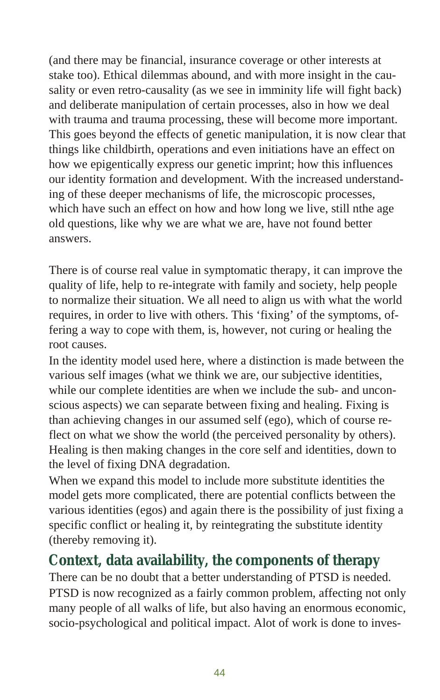(and there may be financial, insurance coverage or other interests at stake too). Ethical dilemmas abound, and with more insight in the causality or even retro-causality (as we see in imminity life will fight back) and deliberate manipulation of certain processes, also in how we deal with trauma and trauma processing, these will become more important. This goes beyond the effects of genetic manipulation, it is now clear that things like child birth, operations and even initiations have an effect on how we epigentically express our genetic imprint; how this influences our identity formation and development. With the increased understanding of these deeper mechanisms of life, the microscopic processes, which have such an effect on how and how long we live, still nthe age old questions, like why we are what we are, have not found better answers.

There is of course real value in symptomatic therapy, it can improve the quality of life, help to re-integrate with family and society, help people to normalize their situation. We all need to align us with what the world requires, in order to live with others. This 'fixing' of the symptoms, offering a way to cope with them, is, however, not curing or healing the root causes.

In the identity model used here, where a distinction is made between the various self images (what we think we are, our subjective identities, while our complete identities are when we include the sub- and unconscious aspects) we can separate between fixing and healing. Fixing is than achieving changes in our assumed self (ego), which of course reflect on what we show the world (the perceived personality by others). Healing is then making changes in the core self and identities, down to the level of fixing DNA degradation.

When we expand this model to include more substitute identities the model gets more complicated, there are potential conflicts between the various identities (egos) and again there is the possibility of just fixing a specific conflict or healing it, by reintegrating the substitute identity (thereby removing it).

#### Context, data availability, the components of the rapy

There can be no doubt that a better understanding of PTSD is needed. PTSD is now recognized as a fairly common problem, affecting not only many people of all walks of life, but also having an enormous economic, socio-psy chological and political impact. Alot of work is done to inves-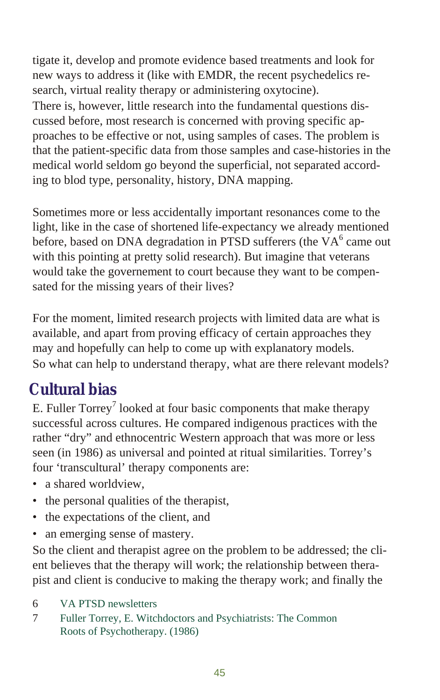<span id="page-44-0"></span>tigate it, develop and promote evidence based treatments and look for new ways to address it (like with EMDR, the recent psychedelics research, virtual reality therapy or administering oxytocine). There is, however, little research into the fundamental questions discussed before, most research is concerned with proving specific approaches to be effective or not, using samples of cases. The problem is that the patient-specific data from those samples and case-histories in the medical world seldom go beyond the superficial, not separated according to blod type, personality, history, DNA mapping.

Sometimes more or less accidentally important resonances come to the light, like in the case of shortened life-expectancy we already mentioned before, based on DNA degradation in PTSD sufferers (the  $VA<sup>6</sup>$  came out with this pointing at pretty solid research). But imagine that veterans would take the governement to court because they want to be compensated for the missing years of their lives?

For the moment, limited research projects with limited data are what is available, and apart from proving efficacy of certain approaches they may and hopefully can help to come up with explanatory models. So what can help to understand therapy, what are there relevant models?

## **Cul tu ral bias**

E. Fuller Torrey<sup>7</sup> looked at four basic components that make therapy success ful across cultures. He compared in digenous practices with the rather "dry" and ethnocentric Western approach that was more or less seen (in 1986) as universal and pointed at ritual similarities. Torrey's four 'transcultural' therapy components are:

- a shared worldview,
- $\bullet$  the personal qualities of the therapist,
- the expectations of the client, and
- an emerging sense of mastery.

So the client and therapist agree on the problem to be addressed; the client believes that the therapy will work; the relationship between therapist and client is conducive to making the therapy work; and finally the

- 6 VA PTSD newsletters
- 7 Fuller Torrey, E. Witchdoctors and Psychiatrists: The Common Roots of Psychotherapy. (1986)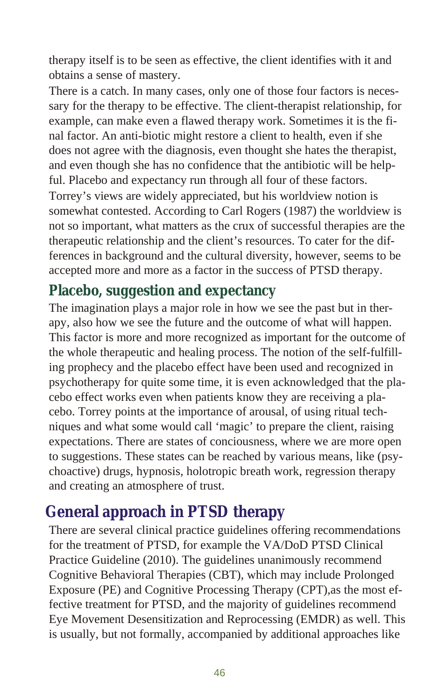<span id="page-45-0"></span>ther apy itself is to be seen as effective, the client identifies with it and obtains a sense of mastery.

There is a catch. In many cases, only one of those four factors is necessary for the therapy to be effective. The client-therapist relationship, for example, can make even a flawed therapy work. Sometimes it is the final factor. An anti-biotic might restore a client to health, even if she does not agree with the diagnosis, even thought she hates the therapist, and even though she has no confidence that the antibiotic will be helpful. Placebo and expectancy run through all four of these factors. Torrey's views are widely appreciated, but his worldview notion is somewhat contested. According to Carl Rogers (1987) the worldview is not so important, what matters as the crux of successful therapies are the ther a peutic relationship and the client's resources. To cater for the differences in background and the cultural diversity, however, seems to be accepted more and more as a factor in the success of PTSD therapy.

#### **Placebo, suggestion and expectancy**

The imagination plays a major role in how we see the past but in therapy, also how we see the future and the outcome of what will happen. This factor is more and more recognized as important for the outcome of the whole ther a peutic and healing process. The notion of the self-fulfilling prophecy and the placebo effect have been used and recognized in psycho therapy for quite some time, it is even acknowledged that the placebo effect works even when patients know they are receiving a placebo. Torrey points at the importance of arousal, of using ritual techniques and what some would call 'magic' to prepare the client, raising expectations. There are states of conciousness, where we are more open to suggestions. These states can be reached by various means, like (psycho active) drugs, hypnosis, holotropic breath work, regression therapy and creating an atmosphere of trust.

## **General approach in PTSD therapy**

There are several clinical practice guidelines offering recommendations for the treatment of PTSD, for example the VA/DoD PTSD Clinical Practice Guideline (2010). The guidelines unanimously recommend Cognitive Behavioral Therapies (CBT), which may include Prolonged Exposure (PE) and Cognitive Processing Therapy (CPT), as the most effective treatment for PTSD, and the majority of guidelines recommend Eye Movement Desensitization and Reprocessing (EMDR) as well. This is usually, but not formally, accompanied by additional approaches like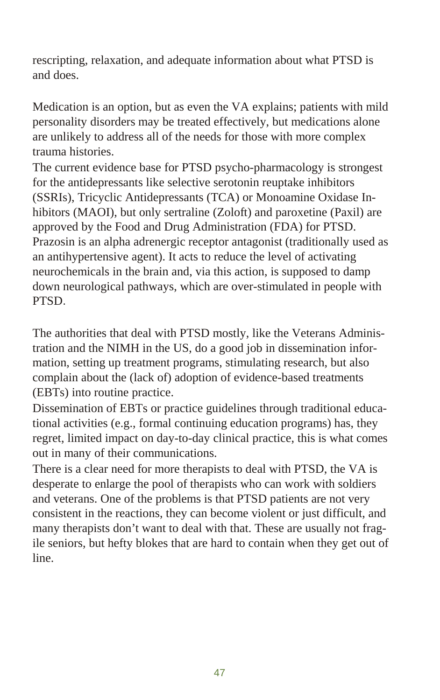rescripting, relaxation, and adequate information about what PTSD is and does.

Medication is an option, but as even the VA explains; patients with mild per sonality disorders may be treated effectively, but medications alone are unlikely to address all of the needs for those with more complex trauma histories.

The current evidence base for PTSD psycho-pharmacology is strongest for the antidepressants like selective serotonin reuptake inhibitors (SSRIs), Tricyclic Antidepressants (TCA) or Monoamine Oxidase Inhibitors (MAOI), but only sertraline (Zoloft) and paroxetine (Paxil) are approved by the Food and Drug Administration (FDA) for PTSD. Prazosin is an alpha adrenergic receptor antagonist (traditionally used as an antihypertensive agent). It acts to reduce the level of activating neurochemicals in the brain and, via this action, is supposed to damp down neurological pathways, which are over-stimulated in people with PTSD.

The authorities that deal with PTSD mostly, like the Veterans Administration and the NIMH in the US, do a good job in dissemination information, setting up treatment programs, stimulating research, but also complain about the (lack of) adoption of evidence-based treatments (EBTs) into routine practice.

Dissemination of EBTs or practice guidelines through traditional educational activities (e.g., formal continuing education programs) has, they regret, limited impact on day-to-day clinical practice, this is what comes out in many of their communications.

There is a clear need for more therapists to deal with PTSD, the VA is desperate to enlarge the pool of therapists who can work with soldiers and veterans. One of the problems is that PTSD patients are not very consistent in the reactions, they can become violent or just difficult, and many therapists don't want to deal with that. These are usually not fragile seniors, but hefty blokes that are hard to contain when they get out of line.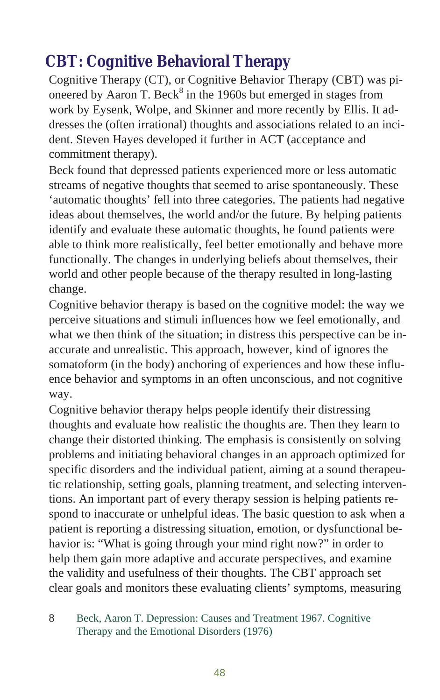## <span id="page-47-0"></span>**CBT: Cognitive Behavioral Therapy**

Cognitive Therapy (CT), or Cognitive Behavior Therapy (CBT) was pioneered by Aaron T. Beck $^8$  in the 1960s but emerged in stages from work by Eysenk, Wolpe, and Skinner and more recently by Ellis. It addresses the (often irrational) thoughts and associations related to an incident. Steven Hayes developed it further in ACT (acceptance and commitment therapy).

Beck found that depressed patients experienced more or less automatic streams of negative thoughts that seemed to arise spontaneously. These 'automatic thoughts' fell into three categories. The patients had negative ideas about themselves, the world and/or the future. By helping patients identify and evaluate these automatic thoughts, he found patients were able to think more realistically, feel better emotionally and behave more functionally. The changes in underlying beliefs about themselves, their world and other people because of the therapy resulted in long-lasting change.

Cognitive behavior therapy is based on the cognitive model: the way we perceive situations and stimuli influences how we feel emotionally, and what we then think of the situation; in distress this perspective can be inaccurate and unrealistic. This approach, however, kind of ignores the somatoform (in the body) anchoring of experiences and how these influence behavior and symptoms in an often unconscious, and not cognitive way.

Cognitive behavior therapy helps people identify their distressing thoughts and evaluate how realistic the thoughts are. Then they learn to change their distorted thinking. The emphasis is consistently on solving problems and initiating behavioral changes in an approach optimized for specific disorders and the individual patient, aiming at a sound therapeutic relationship, setting goals, planning treatment, and selecting interventions. An important part of every therapy session is helping patients respond to inaccurate or unhelpful ideas. The basic question to ask when a patient is reporting a distressing situation, emotion, or dysfunctional behavior is: "What is going through your mind right now?" in order to help them gain more adaptive and accurate perspectives, and examine the validity and usefulness of their thoughts. The CBT approach set clear goals and monitors these evaluating clients' symptoms, measuring

8 Beck, Aaron T. Depression: Causes and Treatment 1967. Cognitive Therapy and the Emotional Disorders (1976)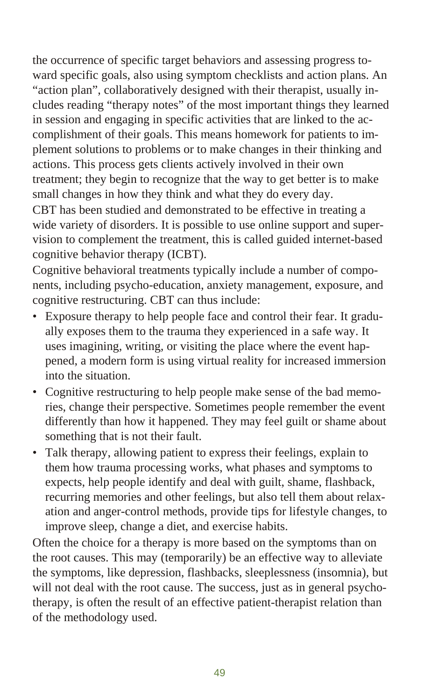the occurrence of specific target behaviors and assessing progress toward specific goals, also using symptom checklists and action plans. An "action plan", collaboratively designed with their therapist, usually includes reading "therapy notes" of the most important things they learned in session and engaging in specific activities that are linked to the accomplishment of their goals. This means homework for patients to implement solutions to problems or to make changes in their thinking and actions. This process gets clients actively involved in their own treatment; they begin to recognize that the way to get better is to make small changes in how they think and what they do every day.

CBT has been studied and demonstrated to be effective in treating a wide variety of disorders. It is possible to use online support and supervision to complement the treatment, this is called guided internet-based cognitive behavior therapy (ICBT).

Cognitive behavioral treatments typically include a number of components, including psycho-education, anxiety management, exposure, and cognitive restructuring. CBT can thus include:

- Exposure therapy to help people face and control their fear. It gradually exposes them to the trauma they experienced in a safe way. It uses imagining, writing, or visiting the place where the event happened, a modern form is using virtual reality for increased immersion into the situation.
- Cognitive restructuring to help people make sense of the bad memories, change their perspective. Sometimes people remember the event differently than how it happened. They may feel guilt or shame about something that is not their fault.
- Talk therapy, allowing patient to express their feelings, explain to them how trauma processing works, what phases and symptoms to expects, help people identify and deal with guilt, shame, flashback, recurring memories and other feelings, but also tell them about relaxation and anger-control methods, provide tips for lifestyle changes, to improve sleep, change a diet, and exercise habits.

Often the choice for a therapy is more based on the symptoms than on the root causes. This may (temporarily) be an effective way to alleviate the symptoms, like depression, flashbacks, sleeplessness (insomnia), but will not deal with the root cause. The success, just as in general psychotherapy, is often the result of an effective patient-therapist relation than of the methodology used.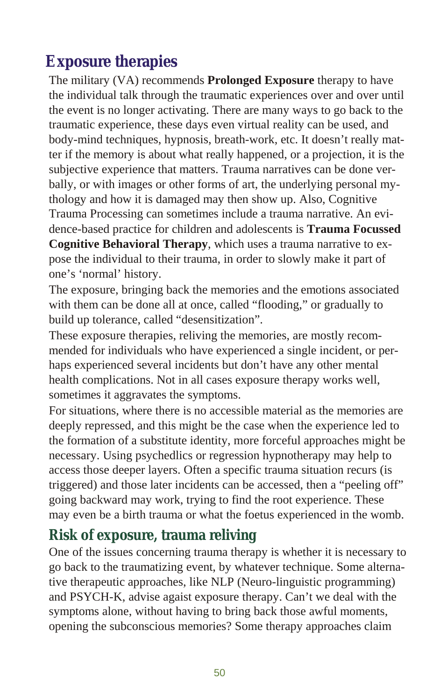## <span id="page-49-0"></span>**Exposure therapies**

The military (VA) recommends **Prolonged Exposure** therapy to have the individual talk through the traumatic experiences over and over until the event is no longer activating. There are many ways to go back to the trau matic experience, these days even virtual reality can be used, and body-mind techniques, hypnosis, breath-work, etc. It doesn't really matter if the memory is about what really happened, or a projection, it is the subiective experience that matters. Trauma narratives can be done verbally, or with images or other forms of art, the underlying personal mythology and how it is damaged may then show up. Also, Cognitive Trauma Processing can sometimes include a trauma narrative. An evidence-based practice for children and adolescents is **Trauma Focussed Cognitive Behavioral Therapy**, which uses a trauma narrative to expose the individual to their trauma, in order to slowly make it part of one's 'normal' history.

The exposure, bringing back the memories and the emotions associated with them can be done all at once, called "flooding," or gradually to build up tolerance, called "desensitization".

These exposure therapies, reliving the memories, are mostly recommended for individuals who have experienced a single incident, or perhaps experienced several incidents but don't have any other mental health complications. Not in all cases exposure therapy works well, sometimes it aggravates the symptoms.

For situations, where there is no accessible material as the memories are deeply repressed, and this might be the case when the experience led to the formation of a substitute identity, more forceful approaches might be necessary. Using psychedlics or regression hypnotherapy may help to access those deeper layers. Often a specific trauma situation recurs (is triggered) and those later incidents can be accessed, then a "peeling off" going backward may work, trying to find the root experience. These may even be a birth trauma or what the foetus experienced in the womb.

#### **Risk of exposure, trauma reliving**

One of the issues concerning trauma therapy is whether it is necessary to go back to the traumatizing event, by whatever technique. Some alternative ther a peroaches, like NLP (Neuro-linguistic programming) and PSYCH-K, advise agaist exposure therapy. Can't we deal with the symptoms alone, without having to bring back those awful moments, opening the subconscious memories? Some therapy approaches claim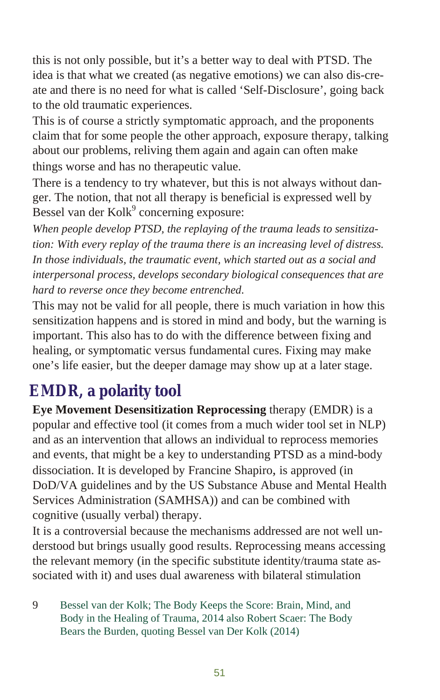<span id="page-50-0"></span>this is not only possible, but it's a better way to deal with PTSD. The idea is that what we created (as negative emotions) we can also dis-create and there is no need for what is called 'Self-Disclosure', going back to the old traumatic experiences.

This is of course a strictly symptomatic approach, and the proponents claim that for some people the other approach, exposure therapy, talking about our problems, reliving them again and again can often make things worse and has no therapeutic value.

There is a tendency to try whatever, but this is not always without danger. The notion, that not all therapy is beneficial is expressed well by Bessel van der Kolk<sup>9</sup> concerning exposure:

When people develop PTSD, the replaying of the trauma leads to sensitiza*tion: With every replay of the trauma there is an increasing level of distress.* In those individuals, the traumatic event, which started out as a social and *in ter per sonal pro cess, de vel ops sec ond ary bi o log i cal con se quences that are hard to re verse once they be come entrenched.*

This may not be valid for all people, there is much variation in how this sen sti zation happens and is stored in mind and body, but the warning is important. This also has to do with the difference between fixing and healing, or symptomatic versus fundamental cures. Fixing may make one's life easier, but the deeper damage may show up at a later stage.

## **EMDR**, a polarity tool

**Eye Movement Desensitization Reprocessing therapy (EMDR) is a** popular and effective tool (it comes from a much wider tool set in NLP) and as an intervention that allows an individual to reprocess memories and events, that might be a key to understanding PTSD as a mind-body dissociation. It is developed by Francine Shapiro, is approved (in DoD/VA guidelines and by the US Substance Abuse and Mental Health Services Administration (SAMHSA)) and can be combined with cognitive (usually verbal) therapy.

It is a controversial because the mechanisms addressed are not well understood but brings usually good results. Reprocessing means accessing the relevant memory (in the specific substitute identity/trauma state associated with it) and uses dual awareness with bilateral stimulation

9 Bessel van der Kolk; The Body Keeps the Score: Brain, Mind, and Body in the Healing of Trauma, 2014 also Robert Scaer: The Body Bears the Burden, quoting Bessel van Der Kolk (2014)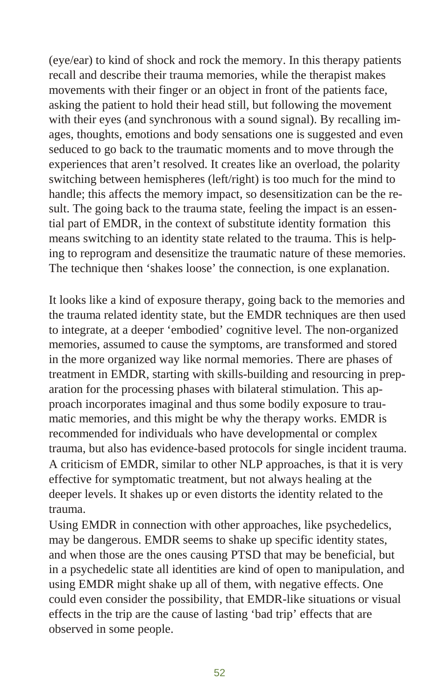(eye/ear) to kind of shock and rock the memory. In this therapy patients recall and describe their trauma memories, while the therapist makes movements with their finger or an object in front of the patients face, asking the patient to hold their head still, but following the movement with their eyes (and synchronous with a sound signal). By recalling images, thoughts, emotions and body sensations one is suggested and even seduced to go back to the traumatic moments and to move through the experiences that aren't resolved. It creates like an overload, the polarity switching between hemispheres (left/right) is too much for the mind to handle; this affects the memory impact, so desensitization can be the result. The going back to the trauma state, feeling the impact is an essential part of EMDR, in the context of substitute identity formation this means switching to an identity state related to the trauma. This is helping to reprogram and desensitize the traumatic nature of these memories. The technique then 'shakes loose' the connection, is one explanation.

It looks like a kind of exposure therapy, going back to the memories and the trauma related identity state, but the EMDR techniques are then used to integrate, at a deeper 'embodied' cognitive level. The non-organized memories, assumed to cause the symptoms, are transformed and stored in the more organized way like normal memories. There are phases of treatment in EMDR, starting with skills-building and resourcing in preparation for the processing phases with bilateral stimulation. This approach incorporates imaginal and thus some bodily exposure to traumatic memories, and this might be why the therapy works. EMDR is recommended for individuals who have developmental or complex trauma, but also has evidence-based protocols for single incident trauma. A criticism of EMDR, similar to other NLP approaches, is that it is very effective for symptomatic treatment, but not always healing at the deeper levels. It shakes up or even distorts the identity related to the trauma.

Using EMDR in connection with other approaches, like psychedelics, may be dangerous. EMDR seems to shake up specific identity states, and when those are the ones causing PTSD that may be beneficial, but in a psychedelic state all identities are kind of open to manipulation, and using EMDR might shake up all of them, with negative effects. One could even consider the possibility, that EMDR-like situations or visual effects in the trip are the cause of lasting 'bad trip' effects that are observed in some people.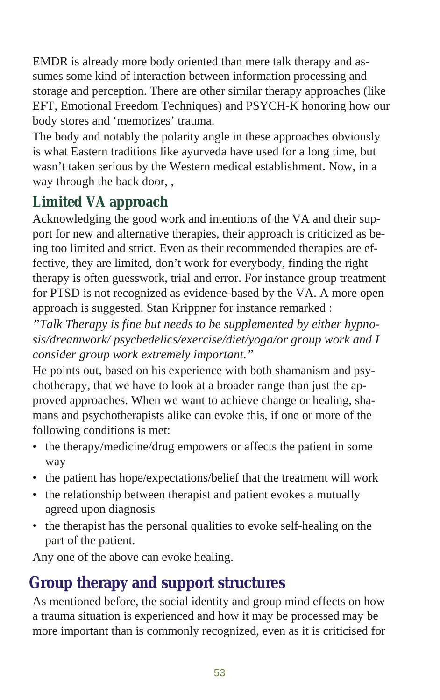<span id="page-52-0"></span>EMDR is already more body oriented than mere talk therapy and assumes some kind of interaction between information processing and storage and perception. There are other similar therapy approaches (like EFT, Emotional Freedom Techniques) and PSYCH-K honoring how our body stores and 'memorizes' trauma.

The body and notably the polarity angle in these approaches obviously is what Eastern traditions like ayurveda have used for a long time, but wasn't taken serious by the Western medical establishment. Now, in a way through the back door, ,

## Limited VA approach

Acknowledging the good work and intentions of the VA and their support for new and alternative therapies, their approach is criticized as being too limited and strict. Even as their recommended therapies are effective, they are limited, don't work for everybody, finding the right therapy is often guesswork, trial and error. For instance group treatment for PTSD is not recognized as evidence-based by the VA. A more open approach is suggested. Stan Krippner for instance remarked :

*"Talk Ther apy is fine but needs to be sup ple mented by ei ther hyp no sis/dreamwork/ psy che del ics/ex er cise/diet/yoga/or group work and I con sider group work ex tremely important."*

He points out, based on his experience with both shamanism and psycho therapy, that we have to look at a broader range than just the approved approaches. When we want to achieve change or healing, shamans and psy cho there a pists alike can evoke this, if one or more of the following conditions is met:

- the therapy/medicine/drug empowers or affects the patient in some way
- the patient has hope/expectations/belief that the treatment will work
- the relationship between therapist and patient evokes a mutually agreed upon diagnosis
- the therapist has the personal qualities to evoke self-healing on the part of the patient.

Any one of the above can evoke healing.

# **Group therapy and support structures**

As mentioned before, the social identity and group mind effects on how a trauma situation is experienced and how it may be processed may be more important than is commonly recognized, even as it is criticised for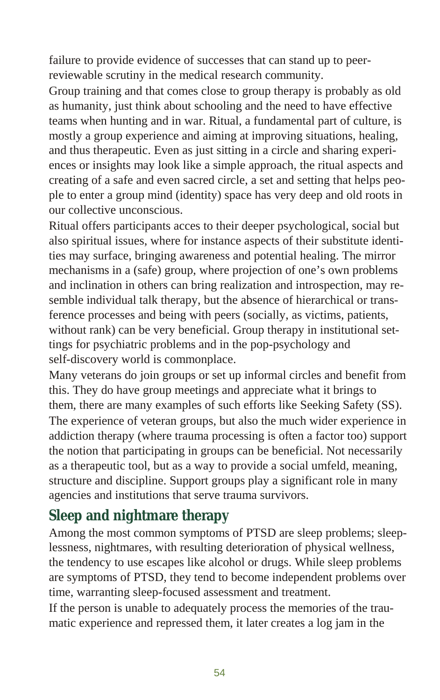failure to provide evidence of successes that can stand up to peerreviewable scrutiny in the medical research community.

Group training and that comes close to group therapy is probably as old as humanity, just think about schooling and the need to have effective teams when hunting and in war. Ritual, a fundamental part of culture, is mostly a group experience and aiming at improving situations, healing, and thus ther a peutic. Even as just sitting in a circle and sharing experiences or insights may look like a simple approach, the ritual aspects and creating of a safe and even sacred circle, a set and setting that helps people to enter a group mind (identity) space has very deep and old roots in our collective unconscious.

Ritual offers participants acces to their deeper psychological, social but also spiritual issues, where for instance aspects of their substitute identities may surface, bringing awareness and potential healing. The mirror mechanisms in a (safe) group, where projection of one's own problems and inclination in others can bring realization and introspection, may resemble individual talk therapy, but the absence of hierarchical or transference processes and being with peers (socially, as victims, patients, without rank) can be very beneficial. Group therapy in institutional settings for psychiatric problems and in the pop-psychology and self-discovery world is commonplace.

Many veterans do join groups or set up informal circles and benefit from this. They do have group meetings and appreciate what it brings to them, there are many examples of such efforts like Seeking Safety (SS). The experience of veteran groups, but also the much wider experience in addiction therapy (where trauma processing is often a factor too) support the notion that participating in groups can be beneficial. Not necessarily as a therapeutic tool, but as a way to provide a social umfeld, meaning, structure and discipline. Support groups play a significant role in many agencies and institutions that serve trauma survivors.

#### **Sleep and nightmare therapy**

Among the most common symptoms of PTSD are sleep problems; sleeplessness, nightmares, with resulting deterioration of physical wellness, the tendency to use escapes like alcohol or drugs. While sleep problems are symptoms of PTSD, they tend to become independent problems over time, warranting sleep-focused assessment and treatment.

If the person is unable to adequately process the memories of the traumatic experience and repressed them, it later creates a log jam in the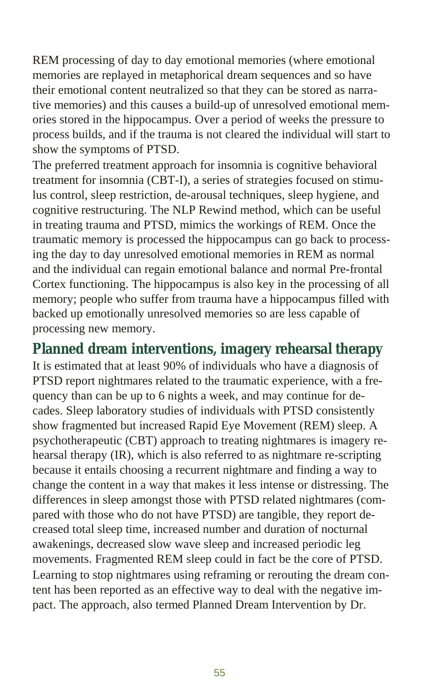REM processing of day to day emotional memories (where emotional memories are replayed in metaphorical dream sequences and so have their emotional content neutralized so that they can be stored as narrative memories) and this causes a build-up of unresolved emotional memories stored in the hippocampus. Over a period of weeks the pressure to process builds, and if the trauma is not cleared the individual will start to show the symptoms of PTSD.

The preferred treatment approach for insomnia is cognitive behavioral treatment for insomnia (CBT-I), a series of strategies focused on stimulus control, sleep restriction, de-arousal techniques, sleep hygiene, and cognitive restructuring. The NLP Rewind method, which can be useful in treating trauma and PTSD, mimics the workings of REM. Once the trau matic memory is processed the hippocampus can go back to processing the day to day unresolved emotional memories in REM as normal and the individual can regain emotional balance and normal Pre-frontal Cortex functioning. The hippocampus is also key in the processing of all memory; people who suffer from trauma have a hippocampus filled with backed up emotionally unresolved memories so are less capable of processing new memory.

**Planned dream interventions, imagery rehearsal therapy** It is estimated that at least 90% of individuals who have a diagnosis of PTSD report nightmares related to the traumatic experience, with a frequency than can be up to 6 nights a week, and may continue for decades. Sleep laboratory studies of individuals with PTSD consistently show fragmented but increased Rapid Eye Movement (REM) sleep. A psycho therapeutic (CBT) approach to treating night mare is imagery rehearsal therapy  $(IR)$ , which is also referred to as nightmare re-scripting because it entails choosing a recurrent nightmare and finding a way to change the content in a way that makes it less intense or distressing. The differences in sleep amongst those with PTSD related nightmares (compared with those who do not have PTSD) are tangible, they report decreased total sleep time, increased number and duration of nocturnal awakenings, decreased slow wave sleep and increased periodic leg movements. Fragmented REM sleep could in fact be the core of PTSD. Learning to stop nightmares using reframing or rerouting the dream content has been reported as an effective way to deal with the negative impact. The approach, also termed Planned Dream Intervention by Dr.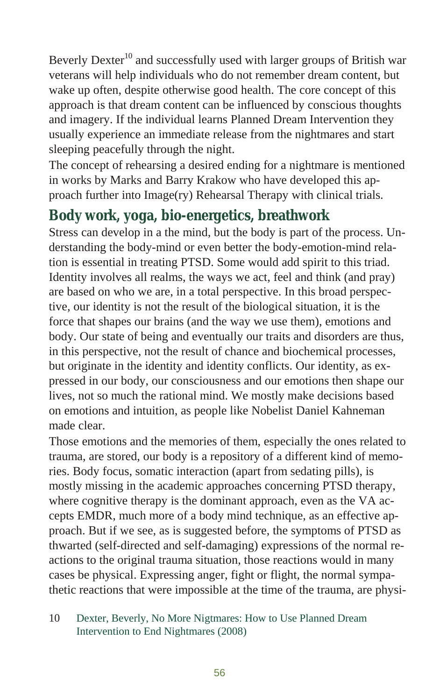Beverly Dexter<sup>10</sup> and successfully used with larger groups of British war veterans will help individuals who do not remember dream content, but wake up often, despite otherwise good health. The core concept of this approach is that dream content can be influenced by conscious thoughts and imagery. If the individual learns Planned Dream Intervention they usually experience an immediate release from the nightmares and start sleeping peacefully through the night.

The concept of rehearsing a desired ending for a nightmare is mentioned in works by Marks and Barry Krakow who have developed this approach further into Image(ry) Rehearsal Therapy with clinical trials.

#### Body work, yoga, bio-energetics, breathwork

Stress can develop in a the mind, but the body is part of the process. Under standing the body-mind or even better the body-emotion-mind relation is essential in treating PTSD. Some would add spirit to this triad. Identity involves all realms, the ways we act, feel and think (and pray) are based on who we are, in a total perspective. In this broad perspective, our identity is not the result of the biological situation, it is the force that shapes our brains (and the way we use them), emotions and body. Our state of being and eventually our traits and disorders are thus, in this perspective, not the result of chance and biochemical processes, but originate in the identity and identity conflicts. Our identity, as expressed in our body, our consciousness and our emotions then shape our lives, not so much the rational mind. We mostly make decisions based on emotions and intuition, as people like Nobelist Daniel Kahneman made clear.

Those emotions and the memories of them, especially the ones related to trauma, are stored, our body is a repository of a different kind of memories. Body focus, somatic interaction (apart from sedating pills), is mostly missing in the academic approaches concerning PTSD therapy, where cognitive therapy is the dominant approach, even as the VA accepts EMDR, much more of a body mind technique, as an effective approach. But if we see, as is suggested before, the symptoms of PTSD as thwarted (self-directed and self-damaging) expressions of the normal reactions to the original trauma situation, those reactions would in many cases be physical. Expressing anger, fight or flight, the normal sympathetic reactions that were impossible at the time of the trauma, are physi-

<sup>10</sup> Dexter, Beverly, No More Nigtmares: How to Use Planned Dream Intervention to End Nightmares (2008)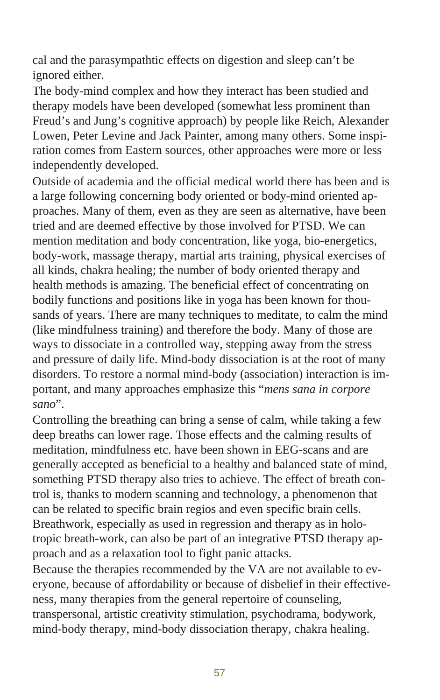cal and the parasympathtic effects on digestion and sleep can't be ignored either.

The body-mind complex and how they interact has been studied and therapy models have been developed (somewhat less prominent than Freud's and Jung's cognitive approach) by people like Reich, Alexander Lowen, Peter Levine and Jack Painter, among many others. Some inspiration comes from Eastern sources, other approaches were more or less independently developed.

Outside of academia and the official medical world there has been and is a large following concerning body oriented or body-mind oriented approaches. Many of them, even as they are seen as alternative, have been tried and are deemed effective by those involved for PTSD. We can mention meditation and body concentration, like yoga, bio-energetics, body-work, massage therapy, martial arts training, physical exercises of all kinds, chakra healing; the number of body oriented therapy and health methods is amazing. The beneficial effect of concentrating on bodily functions and positions like in yoga has been known for thousands of years. There are many techniques to meditate, to calm the mind (like mindfulness training) and therefore the body. Many of those are ways to dissociate in a controlled way, stepping away from the stress and pressure of daily life. Mind-body dissociation is at the root of many disorders. To restore a normal mind-body (association) interaction is important, and many approaches emphasize this "*mens sana in corpore sano*".

Controlling the breathing can bring a sense of calm, while taking a few deep breaths can lower rage. Those effects and the calming results of meditation, mind fulness etc. have been shown in EEG-scans and are generally accepted as beneficial to a healthy and balanced state of mind, something PTSD therapy also tries to achieve. The effect of breath control is, thanks to modern scanning and technology, a phenomenon that can be related to specific brain regios and even specific brain cells. Breathwork, especially as used in regression and therapy as in holotropic breath-work, can also be part of an integrative PTSD therapy approach and as a relaxation tool to fight panic attacks.

Because the therapies recommended by the VA are not available to everyone, because of affordability or because of disbelief in their effectiveness, many therapies from the general repertoire of counseling, transpersonal, artistic creativity stimulation, psychodrama, bodywork, mind-body therapy, mind-body dissociation therapy, chakra healing.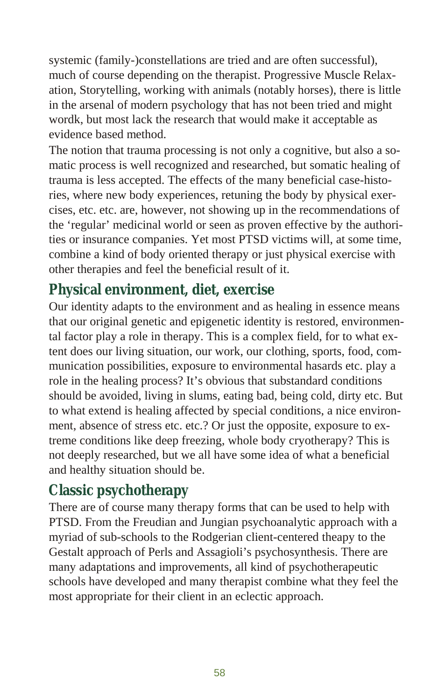systemic (family-)constellations are tried and are often successful). much of course depending on the therapist. Progressive Muscle Relaxation, Storytelling, working with animals (notably horses), there is little in the arsenal of modern psychology that has not been tried and might wordk, but most lack the research that would make it acceptable as evidence based method.

The notion that trauma processing is not only a cognitive, but also a somatic process is well recognized and researched, but somatic healing of trauma is less accepted. The effects of the many beneficial case-histories, where new body experiences, retuning the body by physical exercises, etc. etc. are, however, not showing up in the recommendations of the 'regular' medicinal world or seen as proven effective by the authorities or insurance companies. Yet most PTSD victims will, at some time, combine a kind of body oriented therapy or just physical exercise with other therapies and feel the beneficial result of it.

#### **Physical environment, diet, exercise**

Our identity adapts to the environment and as healing in essence means that our original genetic and epigenetic identity is restored, environmental factor play a role in therapy. This is a complex field, for to what extent does our living situation, our work, our clothing, sports, food, communication possibilities, exposure to environmental hasards etc. play a role in the healing process? It's obvious that substandard conditions should be avoided, living in slums, eating bad, being cold, dirty etc. But to what extend is healing affected by special conditions, a nice environment, absence of stress etc. etc.? Or just the opposite, exposure to extreme conditions like deep freezing, whole body cryotherapy? This is not deeply re searched, but we all have some idea of what a beneficial and healthy situation should be.

#### **Classic psychotherapy**

There are of course many therapy forms that can be used to help with PTSD. From the Freudian and Jungian psychoanalytic approach with a myriad of sub-schools to the Rodgerian client-centered theapy to the Gestalt approach of Perls and Assagioli's psychosynthesis. There are many adaptations and improvements, all kind of psychotherapeutic schools have developed and many therapist combine what they feel the most appropriate for their client in an eclectic approach.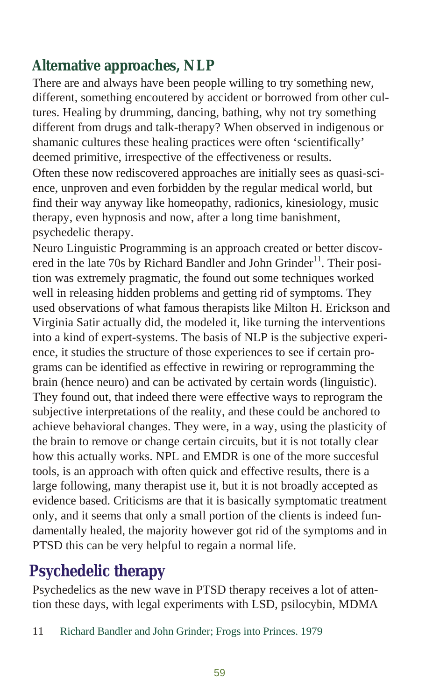## <span id="page-58-0"></span>Alternative approaches, NLP

There are and always have been people willing to try something new, different, something encoutered by accident or borrowed from other cultures. Healing by drumming, dancing, bathing, why not try something different from drugs and talk-therapy? When observed in indigenous or sha manic cultures these healing practices were often 'scientifically' deemed primitive, irrespective of the effectiveness or results.

Often these now rediscovered approaches are initially sees as quasi-science, unproven and even forbidden by the regular medical world, but find their way anyway like homeopathy, radionics, kinesiology, music therapy, even hypnosis and now, after a long time banishment, psychedelic therapy.

Neuro Linguistic Programming is an approach created or better discovered in the late 70s by Richard Bandler and John Grinder<sup>11</sup>. Their position was extremely pragmatic, the found out some techniques worked well in releasing hidden problems and getting rid of symptoms. They used observations of what famous therapists like Milton H. Erickson and Virginia Satir actually did, the modeled it, like turning the interventions into a kind of expert-systems. The basis of NLP is the subjective experience, it studies the structure of those experiences to see if certain programs can be identified as effective in rewiring or reprogramming the brain (hence neuro) and can be activated by certain words (linguistic). They found out, that indeed there were effective ways to reprogram the subjective interpretations of the reality, and these could be anchored to achieve behavioral changes. They were, in a way, using the plasticity of the brain to remove or change certain circuits, but it is not totally clear how this actually works. NPL and EMDR is one of the more succesful tools, is an approach with often quick and effective results, there is a large following, many therapist use it, but it is not broadly accepted as evidence based. Criticisms are that it is basically symptomatic treatment only, and it seems that only a small portion of the clients is indeed fundamentally healed, the majority however got rid of the symptoms and in PTSD this can be very helpful to regain a normal life.

## **Psychedelic therapy**

Psychedelics as the new wave in PTSD therapy receives a lot of attention these days, with legal experiments with LSD, psilocybin, MDMA

<sup>11</sup> Richard Bandler and John Grinder; Frogs into Princes. 1979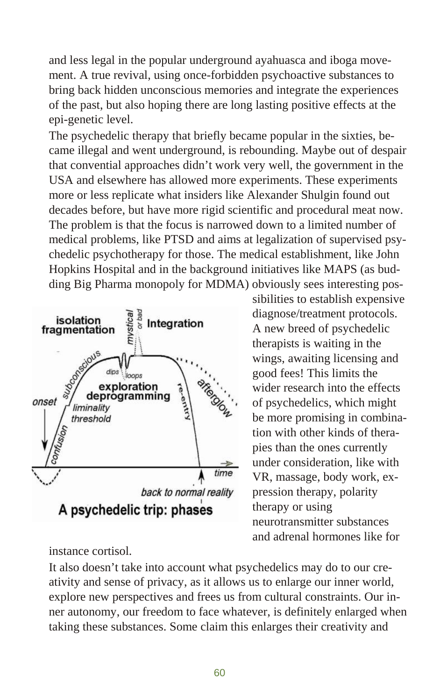and less legal in the popular underground ayahuasca and iboga movement. A true revival, using once-forbidden psychoactive substances to bring back hidden unconscious memories and integrate the experiences of the past, but also hoping there are long lasting positive effects at the epi-genetic level.

The psychedelic therapy that briefly became popular in the sixties, became illegal and went underground, is rebounding. Maybe out of despair that convential approaches didn't work very well, the government in the USA and elsewhere has allowed more experiments. These experiments more or less replicate what insiders like Alexander Shulgin found out decades before, but have more rigid scientific and procedural meat now. The problem is that the focus is narrowed down to a limited number of medical problems, like PTSD and aims at legalization of supervised psyche delic psy cho ther apy for those. The medical establishment, like John Hopkins Hospital and in the background initiatives like MAPS (as budding Big Pharma monopoly for MDMA) obviously sees interesting pos-



instance cortisol.

sibilities to establish expensive diagnose/treatment protocols. A new breed of psychedelic therapists is waiting in the wings, awaiting licensing and good fees! This limits the wider research into the effects of psychedelics, which might be more promising in combination with other kinds of therapies than the ones currently under consideration, like with VR, massage, body work, expression therapy, polarity therapy or using neurotransmitter substances and adrenal hormones like for

It also doesn't take into account what psychedelics may do to our creativity and sense of privacy, as it allows us to enlarge our inner world, explore new perspectives and frees us from cultural constraints. Our inner autonomy, our freedom to face whatever, is definitely enlarged when taking these substances. Some claim this enlarges their creativity and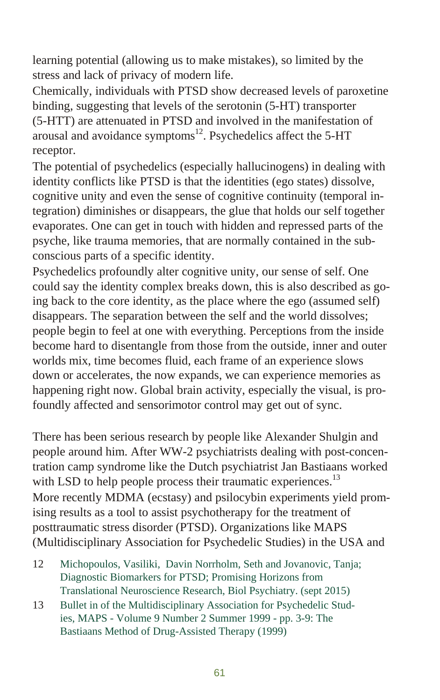learning potential (allowing us to make mistakes), so limited by the stress and lack of privacy of modern life.

Chemically, individuals with PTSD show decreased levels of paroxetine binding, suggesting that levels of the serotonin (5-HT) transporter  $(5-HTT)$  are attenuated in PTSD and involved in the manifestation of arousal and avoidance symptoms $^{12}$ . Psychedelics affect the 5-HT receptor.

The potential of psychedelics (especially hallucinogens) in dealing with identity conflicts like PTSD is that the identities (ego states) dissolve, cognitive unity and even the sense of cognitive continuity (temporal integration) diminishes or disappears, the glue that holds our self together evaporates. One can get in touch with hidden and repressed parts of the psyche, like trauma memories, that are normally contained in the subconscious parts of a specific identity.

Psychedelics profoundly alter cognitive unity, our sense of self. One could say the identity complex breaks down, this is also described as going back to the core identity, as the place where the ego (assumed self) disappears. The separation between the self and the world dissolves; people begin to feel at one with everything. Perceptions from the inside become hard to disentangle from those from the outside, inner and outer worlds mix, time becomes fluid, each frame of an experience slows down or accelerates, the now expands, we can experience memories as happening right now. Global brain activity, especially the visual, is profoundly affected and sensorimotor control may get out of sync.

There has been serious research by people like Alexander Shulgin and people around him. After WW-2 psychiatrists dealing with post-concentration camp syndrome like the Dutch psychiatrist Jan Bastiaans worked with LSD to help people process their traumatic experiences.<sup>13</sup> More recently MDMA (ecstasy) and psilocybin experiments yield promising results as a tool to assist psychotherapy for the treatment of posttraumatic stress disorder (PTSD). Organizations like MAPS (Multidisciplinary Association for Psychedelic Studies) in the USA and

- 12 Michopoulos, Vasiliki, Davin Norrholm, Seth and Jovanovic, Tanja; Diagnostic Biomarkers for PTSD; Promising Horizons from Translational Neuroscience Research, Biol Psychiatry. (sept 2015)
- 13 Bullet in of the Multidisciplinary Association for Psychedelic Studies, MAPS - Volume 9 Number 2 Summer 1999 - pp. 3-9: The Bastiaans Method of Drug-Assisted Therapy (1999)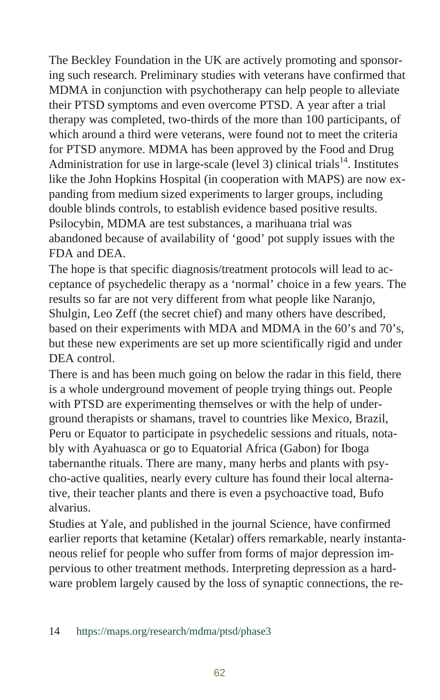The Beckley Foundation in the UK are actively promoting and sponsoring such research. Preliminary studies with veterans have confirmed that MDMA in conjunction with psychotherapy can help people to alleviate their PTSD symptoms and even overcome PTSD. A year after a trial therapy was completed, two-thirds of the more than 100 participants, of which around a third were veterans, were found not to meet the criteria for PTSD anymore. MDMA has been approved by the Food and Drug Administration for use in large-scale (level 3) clinical trials<sup>14</sup>. Institutes like the John Hopkins Hospital (in cooperation with MAPS) are now expanding from medium sized experiments to larger groups, including double blinds controls, to establish evidence based positive results. Psilocybin, MDMA are test substances, a marihuana trial was abandoned because of availability of 'good' pot supply issues with the FDA and DEA.

The hope is that specific diagnosis/treatment protocols will lead to acceptance of psychedelic therapy as a 'normal' choice in a few years. The results so far are not very different from what people like Naranjo, Shulgin, Leo Zeff (the secret chief) and many others have described, based on their experiments with MDA and MDMA in the 60's and 70's, but these new experiments are set up more scientifically rigid and under DEA control.

There is and has been much going on below the radar in this field, there is a whole underground movement of people trying things out. People with PTSD are experimenting themselves or with the help of underground therapists or shamans, travel to countries like Mexico, Brazil, Peru or Equator to participate in psychedelic sessions and rituals, notably with Ayahuasca or go to Equatorial Africa (Gabon) for Iboga tabernanthe rituals. There are many, many herbs and plants with psycho-active qualities, nearly every culture has found their local alternative, their teacher plants and there is even a psychoactive toad, Bufo alvarius.

Studies at Yale, and published in the journal Science, have confirmed earlier reports that ketamine (Ketalar) offers remarkable, nearly instantaneous relief for people who suffer from forms of major depression impervious to other treatment methods. Interpreting depression as a hardware problem largely caused by the loss of synaptic connections, the re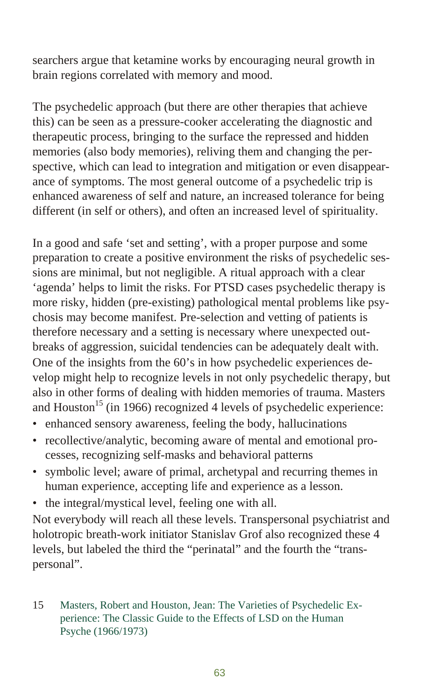searchers argue that ketamine works by encouraging neural growth in brain regions correlated with memory and mood.

The psychedelic approach (but there are other therapies that achieve this) can be seen as a pressure-cooker accelerating the diagnostic and ther a peutic process, bringing to the surface the repressed and hidden memories (also body memories), reliving them and changing the perspective, which can lead to integration and mitigation or even disappearance of symptoms. The most general outcome of a psychedelic trip is enhanced awareness of self and nature, an increased tolerance for being different (in self or others), and often an increased level of spirituality.

In a good and safe 'set and setting', with a proper purpose and some preparation to create a positive environment the risks of psychedelic sessions are minimal, but not negligible. A ritual approach with a clear 'agenda' helps to limit the risks. For PTSD cases psychedelic therapy is more risky, hidden (pre-existing) pathological mental problems like psychosis may become manifest. Pre-selection and vetting of patients is therefore necessary and a setting is necessary where unexpected outbreaks of aggression, suicidal tendencies can be adequately dealt with. One of the insights from the  $60$ 's in how psychedelic experiences develop might help to recognize levels in not only psychedelic therapy, but also in other forms of dealing with hidden memories of trauma. Masters and Houston<sup>15</sup> (in 1966) recognized 4 levels of psychedelic experience:

- enhanced sensory awareness, feeling the body, hallucinations
- recollective/analytic, becoming aware of mental and emotional processes, recognizing self-masks and behavioral patterns
- symbolic level; aware of primal, archetypal and recurring themes in human experience, accepting life and experience as a lesson.
- the integral/mystical level, feeling one with all.

Not everybody will reach all these levels. Transpersonal psychiatrist and holotropic breath-work initiator Stanislav Grof also recognized these 4 levels, but labeled the third the "perinatal" and the fourth the "transpersonal".

15 Masters, Robert and Houston, Jean: The Varieties of Psychedelic Experience: The Classic Guide to the Effects of LSD on the Human Psyche (1966/1973)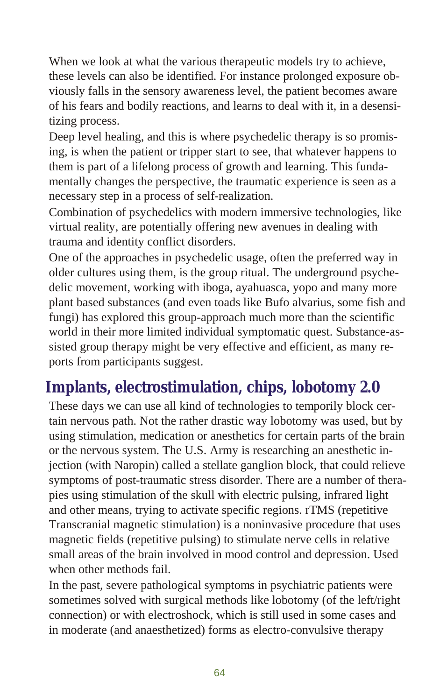<span id="page-63-0"></span>When we look at what the various therapeutic models try to achieve, these levels can also be identified. For instance prolonged exposure obviously falls in the sensory awareness level, the patient becomes aware of his fears and bodily reactions, and learns to deal with it, in a desensitizing process.

Deep level healing, and this is where psychedelic therapy is so promising, is when the patient or tripper start to see, that whatever happens to them is part of a life long process of growth and learning. This fundamentally changes the perspective, the traumatic experience is seen as a necessary step in a process of self-realization.

Combination of psychedelics with modern immersive technologies, like virtual reality, are potentially offering new avenues in dealing with trauma and identity conflict disorders.

One of the approaches in psychedelic usage, often the preferred way in older cultures using them, is the group ritual. The underground psychedelic movement, working with iboga, ayahuasca, yopo and many more plant based sub stances (and even toads like Bufo alvarius, some fish and fungi) has explored this group-approach much more than the scientific world in their more limited individual symptomatic quest. Substance-assisted group therapy might be very effective and efficient, as many reports from participants suggest.

## Implants, electrostimulation, chips, lobotomy 2.0

These days we can use all kind of technologies to temporily block certain nervous path. Not the rather drastic way lobotomy was used, but by using stimulation, medication or an esthetics for certain parts of the brain or the nervous system. The U.S. Army is researching an anesthetic injection (with Naropin) called a stellate ganglion block, that could relieve symptoms of post-traumatic stress disorder. There are a number of therapies using stimulation of the skull with electric pulsing, infrared light and other means, trying to activate specific regions. rTMS (repetitive Transcranial magnetic stimulation) is a noninvasive procedure that uses magnetic fields (repetitive pulsing) to stimulate nerve cells in relative small areas of the brain involved in mood control and depression. Used when other methods fail.

In the past, severe pathological symptoms in psychiatric patients were sometimes solved with surgical methods like lobotomy (of the left/right connection) or with electroshock, which is still used in some cases and in moderate (and an aes the tized) forms as electro-convulsive therapy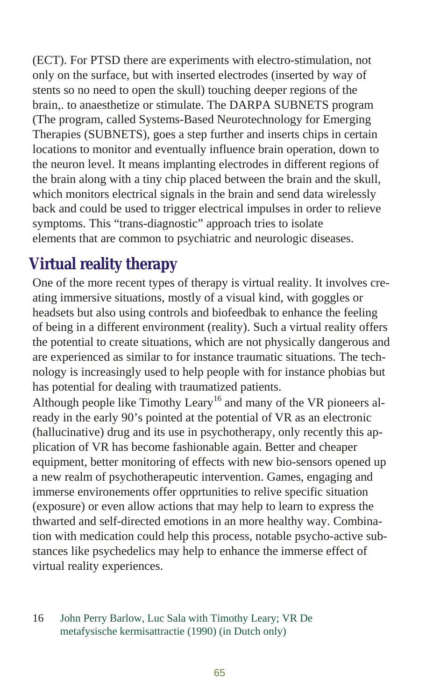<span id="page-64-0"></span>(ECT). For PTSD there are experiments with electro-stimulation, not only on the surface, but with inserted electrodes (inserted by way of stents so no need to open the skull) touching deeper regions of the brain,. to anaes the tize or stimulate. The DARPA SUBNETS program (The program, called Systems-Based Neurotechnology for Emerging Therapies (SUBNETS), goes a step further and inserts chips in certain locations to monitor and eventually influence brain operation, down to the neuron level. It means implanting electrodes in different regions of the brain along with a tiny chip placed between the brain and the skull, which monitors electrical signals in the brain and send data wirelessly back and could be used to trigger electrical impulses in order to relieve symptoms. This "trans-diagnostic" approach tries to isolate elements that are common to psychiatric and neurologic diseases.

## **Virtual reality therapy**

One of the more recent types of therapy is virtual reality. It involves creating immersive situations, mostly of a visual kind, with goggles or headsets but also using controls and biofeedbak to enhance the feeling of being in a different environment (reality). Such a virtual reality offers the potential to create situations, which are not physically dangerous and are experienced as similar to for instance traumatic situations. The technology is increasingly used to help people with for instance phobias but has potential for dealing with traumatized patients.

Although people like Timothy Leary<sup>16</sup> and many of the VR pioneers already in the early 90's pointed at the potential of VR as an electronic (hallucinative) drug and its use in psychotherapy, only recently this application of VR has become fashionable again. Better and cheaper equipment, better monitoring of effects with new bio-sensors opened up a new realm of psychotherapeutic intervention. Games, engaging and immerse environements offer opprtunities to relive specific situation (exposure) or even allow actions that may help to learn to express the thwarted and self-directed emotions in an more healthy way. Combination with medication could help this process, notable psycho-active substances like psychedelics may help to enhance the immerse effect of virtual reality experiences.

#### 16 John Perry Barlow, Luc Sala with Timothy Leary; VR De metafysische kermisattractie (1990) (in Dutch only)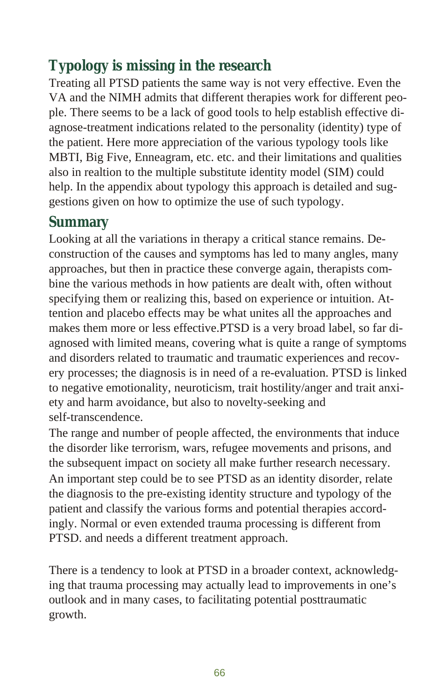## Typology is missing in the research

Treating all PTSD patients the same way is not very effective. Even the VA and the NIMH admits that different therapies work for different people. There seems to be a lack of good tools to help establish effective diagnose-treatment indications related to the personality (identity) type of the patient. Here more appreciation of the various typology tools like MBTI, Big Five, Enneagram, etc. etc. and their limitations and qualities also in realtion to the multiple substitute identity model (SIM) could help. In the appendix about typology this approach is detailed and suggestions given on how to optimize the use of such typology.

#### **Summary**

Looking at all the variations in therapy a critical stance remains. Deconstruction of the causes and symptoms has led to many angles, many approaches, but then in practice these converge again, therapists combine the various methods in how patients are dealt with, often with out specifying them or realizing this, based on experience or intuition. Atten tion and place bo effects may be what unites all the approaches and makes them more or less effective.PTSD is a very broad label, so far diagnosed with limited means, covering what is quite a range of symptoms and disorders related to traumatic and traumatic experiences and recovery processes; the diagnosis is in need of a re-evaluation. PTSD is linked to negative emotionality, neuroticism, trait hostility/anger and trait anxiety and harm avoidance, but also to novelty-seeking and self-transcendence.

The range and number of people affected, the environments that induce the disorder like terrorism, wars, refugee movements and prisons, and the subsequent impact on society all make further research necessary. An important step could be to see PTSD as an identity disorder, relate the diagnosis to the pre-existing identity structure and typology of the patient and classify the various forms and potential therapies accordingly. Normal or even extended trauma processing is different from PTSD. and needs a different treatment approach.

There is a tendency to look at PTSD in a broader context, acknowledging that trauma processing may actually lead to improvements in one's outlook and in many cases, to facilitating potential posttraumatic growth.